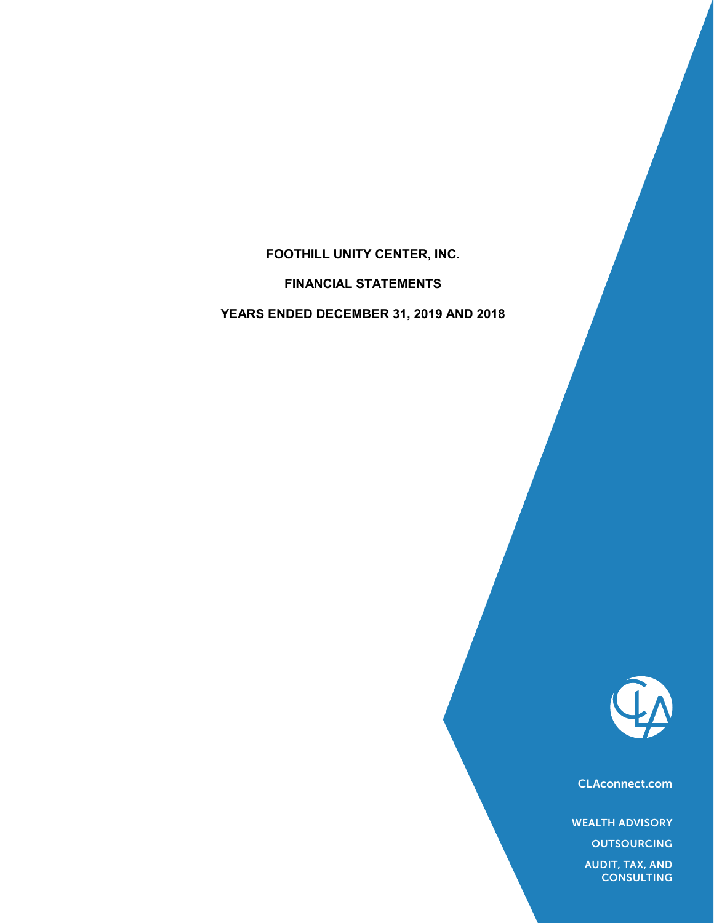## FOOTHILL UNITY CENTER, INC.

FINANCIAL STATEMENTS

FOOTHILL UNITY CENTER, INC.<br>FINANCIAL STATEMENTS<br>YEARS ENDED DECEMBER 31, 2019 AND 2018



CLAconnect.com

WEALTH ADVISORY

**OUTSOURCING** 

AUDIT, TAX, AND **CONSULTING**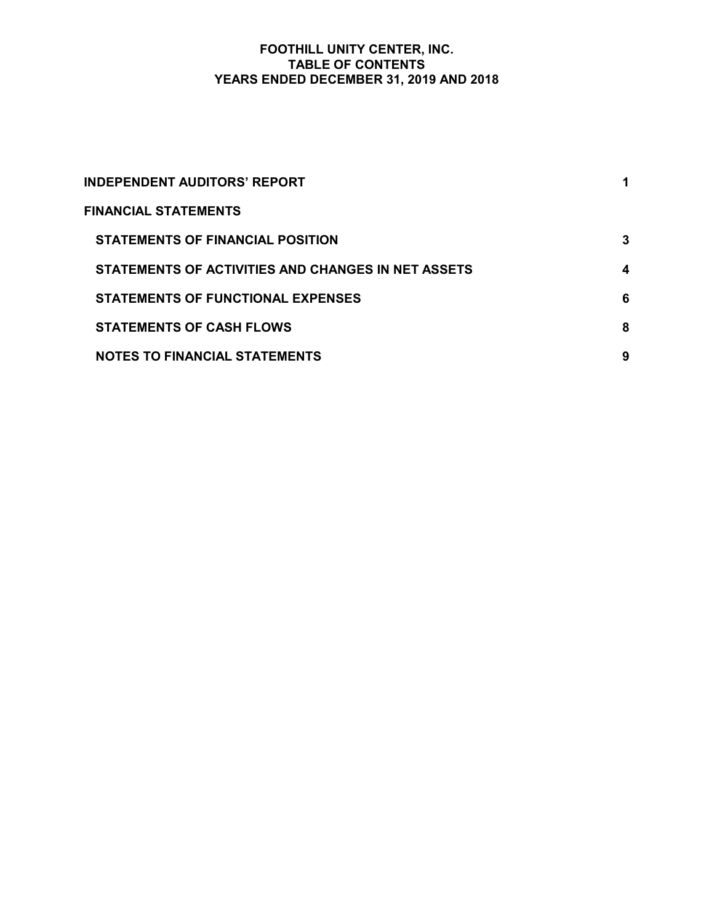## FOOTHILL UNITY CENTER, INC. TABLE OF CONTENTS FOOTHILL UNITY CENTER, INC.<br>TABLE OF CONTENTS<br>YEARS ENDED DECEMBER 31, 2019 AND 2018

| FOOTHILL UNITY CENTER, INC.<br><b>TABLE OF CONTENTS</b><br>YEARS ENDED DECEMBER 31, 2019 AND 2018 |              |  |
|---------------------------------------------------------------------------------------------------|--------------|--|
|                                                                                                   |              |  |
| <b>INDEPENDENT AUDITORS' REPORT</b>                                                               | 1            |  |
| <b>FINANCIAL STATEMENTS</b>                                                                       |              |  |
| <b>STATEMENTS OF FINANCIAL POSITION</b>                                                           | $\mathbf{3}$ |  |
| STATEMENTS OF ACTIVITIES AND CHANGES IN NET ASSETS                                                | 4            |  |
| <b>STATEMENTS OF FUNCTIONAL EXPENSES</b>                                                          | 6            |  |
| <b>STATEMENTS OF CASH FLOWS</b>                                                                   | 8            |  |
| <b>NOTES TO FINANCIAL STATEMENTS</b>                                                              | 9            |  |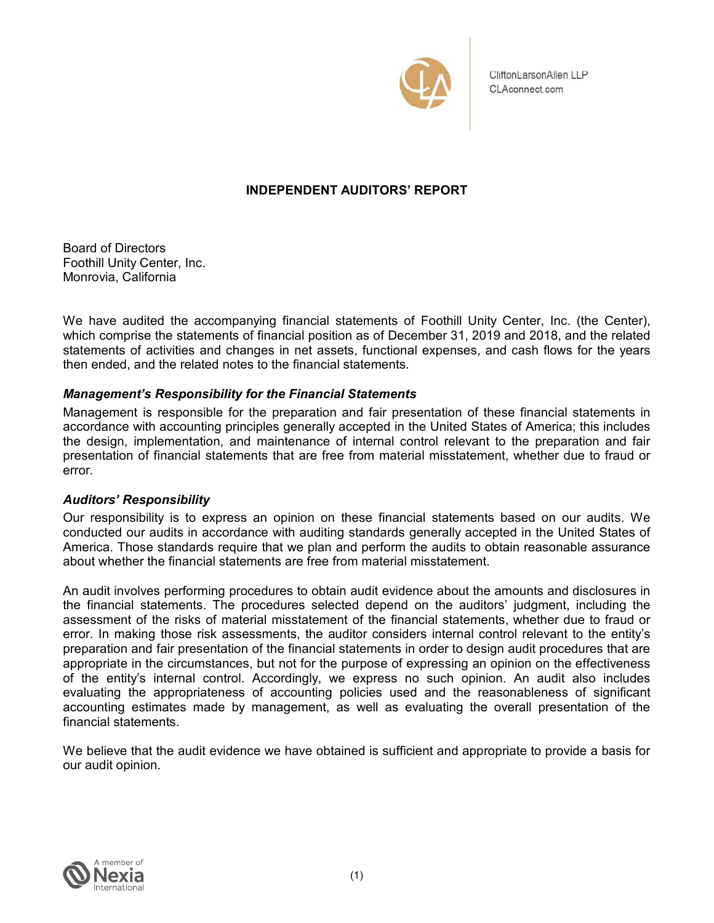

Board of Directors Foothill Unity Center, Inc. Monrovia, California

CliftonLarsonAllen LLP<br>
CLAconnect.com<br>
Board of Directors<br>
Foothill Unity Center, Inc. (the Center, Inc.<br>
Monrovia, Celiftonia<br>
We have audited the accompanying financial statements of Foothill Unity Center, Inc. (the Cen CliftonLarsonAllen LLP<br>
CLAconnect.com<br>
Board of Directors<br>
Froothill Unlity Center, Inc.<br>
Monrovia, California<br>
We have audited the accompanying financial statements of Foothill Unlity Center, Inc. (the Center),<br>
which co statements of activities and changes in net assets, functional expenses, and cash flows for the years then ended, and the related notes to the financial statements.

## Management's Responsibility for the Financial Statements

Management is responsible for the preparation and fair presentation of these financial statements in accordance with accounting principles generally accepted in the United States of America; this includes the design, implementation, and maintenance of internal control relevant to the preparation and fair presentation of financial statements that are free from material misstatement, whether due to fraud or error. Board of Directors<br>Foothill Unity Center, Inc.<br>Monrovia, California<br>We have audited the accompanying financial statements of Foothill Unity<br>which comprise the statements of financial position as of December 31, 2019<br>statem Board of Directors<br>Foothill Unity Center, Inc.<br>We have audited the accompanying financial statements of Foothill Unity Center, Inc. (the Center),<br>which compines the statements of inancial position as of December 31, 2019 a Board of Directors<br>Foothill Unity Center, Inc.<br>Montrovia, California<br>We have audited the accompanying financial statements of Foothill Unity Center, Inc. (the Center),<br>which comprise the statements of financial position as

Our responsibility is to express an opinion on these financial statements based on our audits. We about whether the financial statements are free from material misstatement.

An audit involves performing procedures to obtain audit evidence about the amounts and disclosures in We have audited the accompanying financial statements of Foothill Unity Center, Inc. (the Center),<br>which comprise the statements of financial position as of December 31, 2019 and 2018, and the related<br>then ended, and the r assessment of the risks of material misstatement of the financial statements, whether due to fraud or error. In making those risk assessments, the auditor considers internal control relevant to the entity's preparation and fair presentation of the financial statements in order to design audit procedures that are appropriate in the circumstances, but not for the purpose of expressing an opinion on the effectiveness of the entity's internal control. Accordingly, we express no such opinion. An audit also includes evaluating the appropriateness of accounting policies used and the reasonableness of significant **Management is Responsibility for the Financial Statements** contense and the reason of the reason is accordance with accounting principles generally accepted in the United States of America; this includes the design, imple accounting estimates made by management, as well as evaluating the overall presentation of the financial statements.

We believe that the audit evidence we have obtained is sufficient and appropriate to provide a basis for our audit opinion.

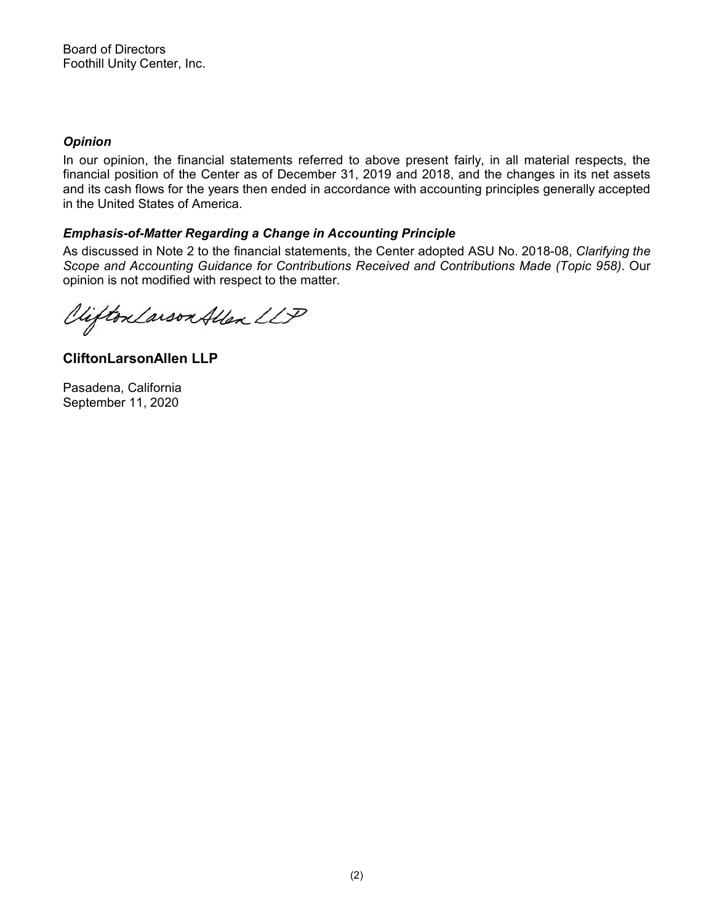## **Opinion**

In our opinion, the financial statements referred to above present fairly, in all material respects, the **Spand of Directors**<br>**Copinion**<br>In our opinion, the financial statements referred to above present fairly, in all material respects, the<br>financial position of the Center as of December 31, 2019 and 2018, and the changes in **Soard of Directors**<br> **And its cash flows for the financial statements referred to above present fairly, in all material respects, the<br>
financial position of the Center as of December 31, 2019 and 2018, and the changes in** in the United States of America. Board of Directors<br>
Foothill Unity Center, Inc.<br>
In our opinion<br>
In our opinion, the financial statements referred to above present fairly, in all material respects, the<br>
Infinancial position of the Center as of December 3 **Opinion**<br>In our opinion, the financial statements referred to above present fairly, in financial position of the Qenter as of December 31, 2019 and 2018, and the dard and its cash flows for the years then ended in accord

## Emphasis-of-Matter Regarding a Change in Accounting Principle

Scope and Accounting Guidance for Contributions Received and Contributions Made (Topic 958). Our opinion is not modified with respect to the matter.

CliftonLarsonAllen LLP

September 11, 2020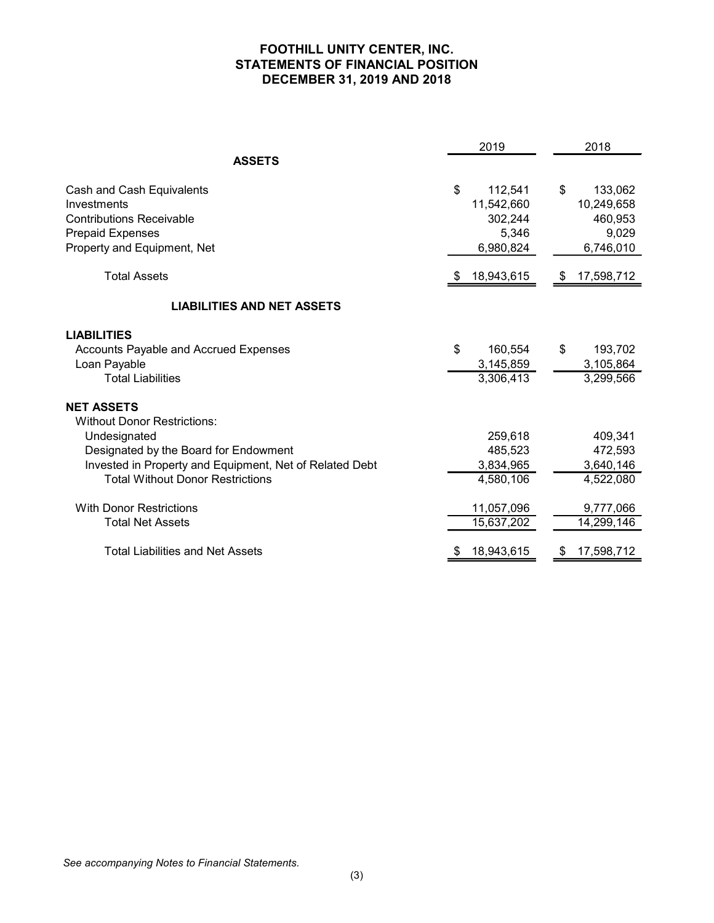## FOOTHILL UNITY CENTER, INC. STATEMENTS OF FINANCIAL POSITION<br>DECEMBER 31, 2019 AND 2018 DECEMBER 31, 2019 AND 2018

|                                                         | <b>STATEMENTS OF FINANCIAL POSITION</b><br>DECEMBER 31, 2019 AND 2018<br>2019 | 2018          |
|---------------------------------------------------------|-------------------------------------------------------------------------------|---------------|
| <b>ASSETS</b>                                           |                                                                               |               |
| Cash and Cash Equivalents                               | $\boldsymbol{\$}$<br>112,541                                                  | 133,062<br>\$ |
| Investments                                             | 11,542,660                                                                    | 10,249,658    |
| <b>Contributions Receivable</b>                         | 302,244                                                                       | 460,953       |
| Prepaid Expenses                                        | 5,346                                                                         | 9,029         |
| Property and Equipment, Net                             | 6,980,824                                                                     | 6,746,010     |
| <b>Total Assets</b>                                     | 18,943,615<br>- \$                                                            | \$17,598,712  |
| <b>LIABILITIES AND NET ASSETS</b>                       |                                                                               |               |
| <b>LIABILITIES</b>                                      |                                                                               |               |
| Accounts Payable and Accrued Expenses                   | \$<br>160,554                                                                 | \$<br>193,702 |
| Loan Payable                                            | 3,145,859                                                                     | 3,105,864     |
| <b>Total Liabilities</b>                                | 3,306,413                                                                     | 3,299,566     |
| <b>NET ASSETS</b>                                       |                                                                               |               |
| <b>Without Donor Restrictions:</b>                      |                                                                               |               |
| Undesignated                                            | 259,618                                                                       | 409,341       |
| Designated by the Board for Endowment                   | 485,523                                                                       | 472,593       |
| Invested in Property and Equipment, Net of Related Debt | 3,834,965                                                                     | 3,640,146     |
| <b>Total Without Donor Restrictions</b>                 | 4,580,106                                                                     | 4,522,080     |
| <b>With Donor Restrictions</b>                          | 11,057,096                                                                    | 9,777,066     |
| <b>Total Net Assets</b>                                 | 15,637,202                                                                    | 14,299,146    |
| <b>Total Liabilities and Net Assets</b>                 | 18,943,615<br>\$F                                                             | \$17,598,712  |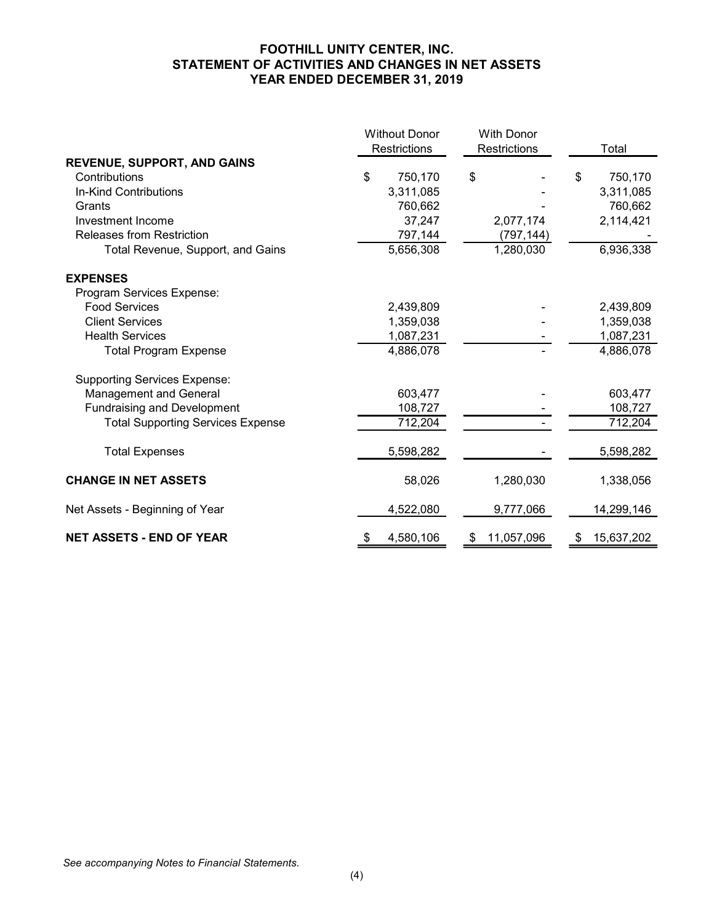## FOOTHILL UNITY CENTER, INC. STATEMENT OF ACTIVITIES AND CHANGES IN NET ASSETS YEAR ENDED DECEMBER 31, 2019

| STATEMENT OF ACTIVITIES AND CHANGES IN NET ASSETS | FOOTHILL UNITY CENTER, INC.  |              |                                          |
|---------------------------------------------------|------------------------------|--------------|------------------------------------------|
|                                                   | YEAR ENDED DECEMBER 31, 2019 |              |                                          |
|                                                   | <b>Without Donor</b>         | With Donor   |                                          |
|                                                   | Restrictions                 | Restrictions | Total                                    |
| REVENUE, SUPPORT, AND GAINS                       |                              |              |                                          |
| Contributions                                     | \$<br>750,170                | \$           | 750,170<br>\$                            |
| In-Kind Contributions                             | 3,311,085                    |              | 3,311,085                                |
| Grants                                            | 760,662                      |              | 760,662                                  |
| Investment Income                                 | 37,247                       | 2,077,174    | 2,114,421                                |
| Releases from Restriction                         | 797,144                      | (797, 144)   |                                          |
| Total Revenue, Support, and Gains                 | 5,656,308                    | 1,280,030    | 6,936,338                                |
| <b>EXPENSES</b>                                   |                              |              |                                          |
| Program Services Expense:                         |                              |              |                                          |
| <b>Food Services</b>                              | 2,439,809                    |              | 2,439,809                                |
| <b>Client Services</b>                            | 1,359,038                    |              | 1,359,038                                |
| <b>Health Services</b>                            | 1,087,231                    |              | 1,087,231                                |
| <b>Total Program Expense</b>                      | 4,886,078                    |              | 4,886,078                                |
| <b>Supporting Services Expense:</b>               |                              |              |                                          |
| <b>Management and General</b>                     | 603,477                      |              | 603,477                                  |
| Fundraising and Development                       | 108,727                      |              | 108,727                                  |
| <b>Total Supporting Services Expense</b>          | 712,204                      |              | 712,204                                  |
| <b>Total Expenses</b>                             | 5,598,282                    |              | 5,598,282                                |
| <b>CHANGE IN NET ASSETS</b>                       | 58,026                       | 1,280,030    | 1,338,056                                |
|                                                   |                              |              |                                          |
| Net Assets - Beginning of Year                    | 4,522,080                    | 9,777,066    | 14,299,146                               |
| <b>NET ASSETS - END OF YEAR</b>                   | 4,580,106<br>\$              | \$11,057,096 | 15,637,202<br>$\boldsymbol{\mathcal{F}}$ |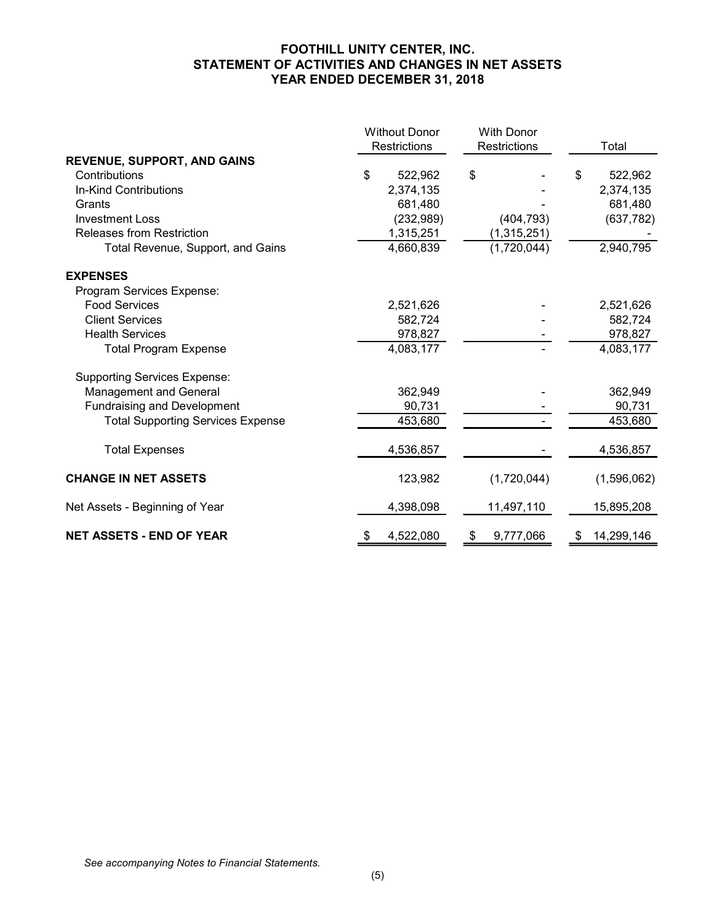## FOOTHILL UNITY CENTER, INC. STATEMENT OF ACTIVITIES AND CHANGES IN NET ASSETS YEAR ENDED DECEMBER 31, 2018

| STATEMENT OF ACTIVITIES AND CHANGES IN NET ASSETS | FOOTHILL UNITY CENTER, INC.<br>YEAR ENDED DECEMBER 31, 2018 |                   |                  |
|---------------------------------------------------|-------------------------------------------------------------|-------------------|------------------|
|                                                   |                                                             |                   |                  |
|                                                   | <b>Without Donor</b>                                        | <b>With Donor</b> |                  |
|                                                   | Restrictions                                                | Restrictions      | Total            |
| <b>REVENUE, SUPPORT, AND GAINS</b>                |                                                             |                   |                  |
| Contributions                                     | \$<br>522,962                                               | \$                | 522,962<br>\$.   |
| In-Kind Contributions                             | 2,374,135                                                   |                   | 2,374,135        |
| Grants                                            | 681,480                                                     |                   | 681,480          |
| <b>Investment Loss</b>                            | (232, 989)                                                  | (404, 793)        | (637, 782)       |
| Releases from Restriction                         | 1,315,251                                                   | (1,315,251)       |                  |
| Total Revenue, Support, and Gains                 | 4,660,839                                                   | (1,720,044)       | 2,940,795        |
| <b>EXPENSES</b>                                   |                                                             |                   |                  |
| Program Services Expense:                         |                                                             |                   |                  |
| <b>Food Services</b>                              | 2,521,626                                                   |                   | 2,521,626        |
| <b>Client Services</b>                            | 582,724                                                     |                   | 582,724          |
| <b>Health Services</b>                            | 978,827                                                     |                   | 978,827          |
| <b>Total Program Expense</b>                      | 4,083,177                                                   |                   | 4,083,177        |
| <b>Supporting Services Expense:</b>               |                                                             |                   |                  |
| Management and General                            | 362,949                                                     |                   | 362,949          |
| <b>Fundraising and Development</b>                | 90,731                                                      |                   | 90,731           |
| <b>Total Supporting Services Expense</b>          | 453,680                                                     | $\blacksquare$    | 453,680          |
| <b>Total Expenses</b>                             | 4,536,857                                                   |                   | 4,536,857        |
| <b>CHANGE IN NET ASSETS</b>                       | 123,982                                                     | (1,720,044)       | (1,596,062)      |
| Net Assets - Beginning of Year                    | 4,398,098                                                   | 11,497,110        | 15,895,208       |
|                                                   | 4,522,080<br>\$.                                            | 9,777,066<br>\$   | 14,299,146<br>\$ |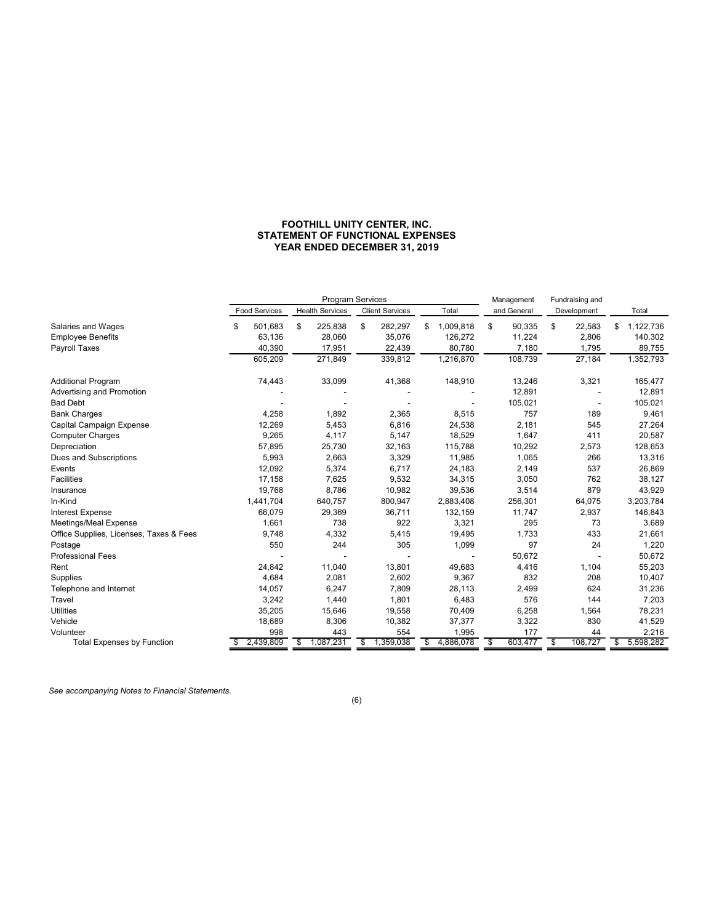## FOOTHILL UNITY CENTER, INC. STATEMENT OF FUNCTIONAL EXPENSES YEAR ENDED DECEMBER 31, 2019

|                                                |                          |                          | FOOTHILL UNITY CENTER, INC.<br>STATEMENT OF FUNCTIONAL EXPENSES |                          |                        |                          |                            |
|------------------------------------------------|--------------------------|--------------------------|-----------------------------------------------------------------|--------------------------|------------------------|--------------------------|----------------------------|
|                                                |                          |                          | YEAR ENDED DECEMBER 31, 2019                                    |                          |                        |                          |                            |
|                                                |                          |                          |                                                                 |                          |                        |                          |                            |
|                                                |                          |                          |                                                                 |                          |                        |                          |                            |
|                                                |                          |                          |                                                                 |                          |                        |                          |                            |
|                                                |                          |                          | Program Services                                                |                          | Management             | Fundraising and          |                            |
|                                                | <b>Food Services</b>     | <b>Health Services</b>   | <b>Client Services</b>                                          | Total                    | and General            | Development              | Total                      |
| Salaries and Wages<br><b>Employee Benefits</b> | \$<br>501,683<br>63,136  | \$<br>225,838<br>28,060  | \$<br>282,297<br>35,076                                         | \$1,009,818<br>126,272   | \$<br>90,335<br>11,224 | \$<br>22,583<br>2,806    | \$<br>1,122,736<br>140,302 |
| Payroll Taxes                                  | 40,390                   | 17,951                   | 22,439                                                          | 80,780                   | 7,180                  | 1,795                    | 89,755                     |
|                                                | 605,209                  | 271,849                  | 339,812                                                         | 1,216,870                | 108,739                | 27,184                   | 1,352,793                  |
| Additional Program                             | 74,443                   | 33,099                   | 41,368                                                          | 148,910                  | 13,246                 | 3,321                    | 165,477                    |
| Advertising and Promotion                      | $\overline{\phantom{a}}$ | $\overline{\phantom{a}}$ | $\blacksquare$                                                  | $\overline{\phantom{a}}$ | 12,891                 | $\overline{\phantom{a}}$ | 12,891                     |
| <b>Bad Debt</b>                                | $\overline{\phantom{a}}$ | $\overline{\phantom{a}}$ | $\blacksquare$                                                  | $\overline{\phantom{a}}$ | 105,021                | $\overline{\phantom{a}}$ | 105,021                    |
| <b>Bank Charges</b>                            | 4,258                    | 1,892                    | 2,365                                                           | 8,515                    | 757                    | 189                      | 9,461                      |
| Capital Campaign Expense                       | 12,269                   | 5,453                    | 6,816                                                           | 24,538                   | 2,181                  | 545                      | 27,264                     |
| <b>Computer Charges</b><br>Depreciation        | 9,265<br>57,895          | 4,117<br>25,730          | 5,147<br>32,163                                                 | 18,529<br>115,788        | 1,647<br>10,292        | 411<br>2,573             | 20,587<br>128,653          |
| Dues and Subscriptions                         | 5,993                    | 2,663                    | 3,329                                                           | 11,985                   | 1,065                  | 266                      | 13,316                     |
| Events                                         | 12,092                   | 5,374                    | 6,717                                                           | 24,183                   | 2,149                  | 537                      | 26,869                     |
| Facilities                                     | 17,158                   | 7,625                    | 9,532                                                           | 34,315                   | 3,050                  | 762                      | 38,127                     |
| Insurance                                      | 19,768                   | 8,786                    | 10,982                                                          | 39,536                   | 3,514                  | 879                      | 43,929                     |
| In-Kind<br>Interest Expense                    | 1,441,704<br>66,079      | 640,757<br>29,369        | 800,947<br>36,711                                               | 2,883,408<br>132,159     | 256,301<br>11,747      | 64,075<br>2,937          | 3,203,784<br>146,843       |
| Meetings/Meal Expense                          | 1,661                    | 738                      | 922                                                             | 3,321                    | 295                    | 73                       | 3,689                      |
| Office Supplies, Licenses, Taxes & Fees        | 9,748                    | 4,332                    | 5,415                                                           | 19,495                   | 1,733                  | 433                      | 21,661                     |
| Postage                                        | 550                      | 244                      | 305                                                             | 1,099                    | 97                     | 24                       | 1,220                      |
| Professional Fees                              |                          |                          |                                                                 |                          | 50,672                 |                          | 50,672                     |
| Rent<br>Supplies                               | 24,842<br>4,684          | 11,040<br>2,081          | 13,801<br>2,602                                                 | 49,683<br>9,367          | 4,416<br>832           | 1,104<br>208             | 55,203<br>10,407           |
| Telephone and Internet                         | 14,057                   | 6,247                    | 7,809                                                           | 28,113                   | 2,499                  | 624                      | 31,236                     |
| Travel                                         | 3,242                    | 1,440                    | 1,801                                                           | 6,483                    | 576                    | 144                      | 7,203                      |
| Utilities                                      | 35,205                   | 15,646                   | 19,558                                                          | 70,409                   | 6,258                  | 1,564                    | 78,231                     |
| Vehicle                                        | 18,689                   | 8,306                    | 10,382                                                          | 37,377                   | 3,322                  | 830                      | 41,529                     |
|                                                | 998                      | 443                      | 554                                                             | 1,995                    | 177                    | 44                       | 2,216                      |
| Volunteer<br><b>Total Expenses by Function</b> | 2,439,809<br>\$          | \$1,087,231              | $\frac{1}{2}$ 1,359,038                                         | \$4,886,078              | 603,477<br>\$          | 108,727<br>\$            | $\frac{1}{5}$ 5,598,282    |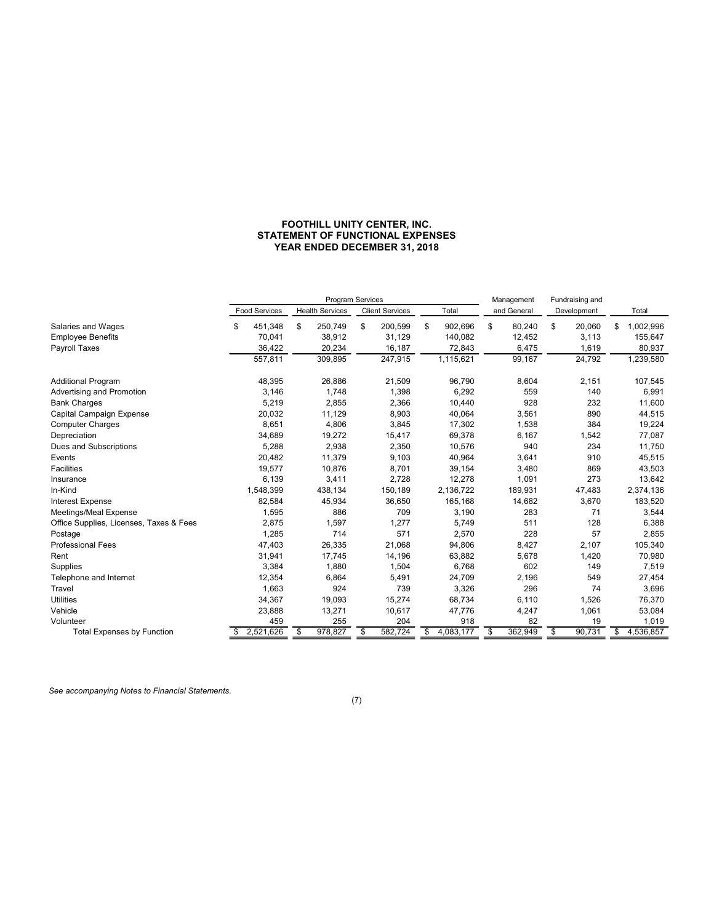## FOOTHILL UNITY CENTER, INC. STATEMENT OF FUNCTIONAL EXPENSES YEAR ENDED DECEMBER 31, 2018

|                                                |                      |                      | FOOTHILL UNITY CENTER, INC.                |                     |                           |                                |                                  |
|------------------------------------------------|----------------------|----------------------|--------------------------------------------|---------------------|---------------------------|--------------------------------|----------------------------------|
|                                                |                      |                      | STATEMENT OF FUNCTIONAL EXPENSES           |                     |                           |                                |                                  |
|                                                |                      |                      | YEAR ENDED DECEMBER 31, 2018               |                     |                           |                                |                                  |
|                                                |                      |                      |                                            |                     |                           |                                |                                  |
|                                                |                      |                      |                                            |                     |                           |                                |                                  |
|                                                |                      |                      |                                            |                     |                           |                                |                                  |
|                                                | <b>Food Services</b> | Health Services      | Program Services<br><b>Client Services</b> | Total               | Management<br>and General | Fundraising and<br>Development | Total                            |
|                                                |                      |                      |                                            |                     |                           |                                |                                  |
| Salaries and Wages                             | 451,348<br>\$        | \$<br>250,749        | \$<br>200,599                              | 902,696<br>\$       | \$<br>80,240              | \$<br>20,060                   | \$1,002,996                      |
| Employee Benefits<br>Payroll Taxes             | 70,041               | 38,912               | 31,129                                     | 140,082             | 12,452                    | 3,113                          | 155,647<br>80,937                |
|                                                | 36,422<br>557,811    | 20,234<br>309,895    | 16,187<br>247,915                          | 72,843<br>1,115,621 | 6,475<br>99,167           | 1,619<br>24,792                | 1,239,580                        |
|                                                |                      |                      |                                            |                     |                           |                                |                                  |
| <b>Additional Program</b>                      | 48,395               | 26,886               | 21,509                                     | 96,790              | 8,604                     | 2,151                          | 107,545                          |
| Advertising and Promotion                      | 3,146                | 1,748                | 1,398                                      | 6,292               | 559                       | 140                            | 6,991                            |
| <b>Bank Charges</b>                            | 5,219                | 2,855                | 2,366                                      | 10,440              | 928                       | 232                            | 11,600                           |
| Capital Campaign Expense                       | 20,032               | 11,129               | 8,903                                      | 40,064              | 3,561                     | 890                            | 44,515                           |
| <b>Computer Charges</b>                        | 8,651                | 4,806                | 3,845                                      | 17,302              | 1,538                     | 384                            | 19,224                           |
| Depreciation<br>Dues and Subscriptions         | 34,689<br>5,288      | 19,272<br>2,938      | 15,417<br>2,350                            | 69,378<br>10,576    | 6,167<br>940              | 1,542<br>234                   | 77,087<br>11,750                 |
| Events                                         | 20,482               | 11,379               | 9,103                                      | 40,964              | 3,641                     | 910                            | 45,515                           |
| Facilities                                     | 19,577               | 10,876               | 8,701                                      | 39,154              | 3,480                     | 869                            | 43,503                           |
| Insurance                                      | 6,139                | 3,411                | 2,728                                      | 12,278              | 1,091                     | 273                            | 13,642                           |
| In-Kind                                        | 1,548,399            | 438,134              | 150,189                                    | 2,136,722           | 189,931                   | 47,483                         | 2,374,136                        |
|                                                | 82,584               | 45,934               | 36,650                                     | 165,168             | 14,682                    | 3,670                          | 183,520                          |
| Interest Expense                               |                      | 886                  | 709                                        | 3,190               | 283                       | 71                             | 3,544                            |
| Meetings/Meal Expense                          | 1,595                |                      | 1,277                                      | 5,749               | 511                       | 128                            | 6,388                            |
| Office Supplies, Licenses, Taxes & Fees        | 2,875                | 1,597                |                                            |                     |                           | 57                             | 2,855                            |
|                                                | 1,285                | 714                  | 571                                        | 2,570               | 228                       |                                |                                  |
| Professional Fees                              | 47,403               | 26,335               | 21,068                                     | 94,806              | 8,427                     | 2,107                          | 105,340                          |
| Postage<br>Rent                                | 31,941               | 17,745               | 14,196                                     | 63,882              | 5,678                     | 1,420                          | 70,980                           |
| Supplies                                       | 3,384                | 1,880                | 1,504                                      | 6,768               | 602                       | 149                            | 7,519                            |
| Telephone and Internet<br>Travel               | 12,354<br>1,663      | 6,864<br>924         | 5,491<br>739                               | 24,709<br>3,326     | 2,196<br>296              | 549<br>74                      | 27,454<br>3,696                  |
| <b>Utilities</b>                               | 34,367               | 19,093               | 15,274                                     | 68,734              | 6,110                     | 1,526                          | 76,370                           |
| Vehicle                                        | 23,888               | 13,271               | 10,617                                     | 47,776              | 4,247                     | 1,061                          | 53,084                           |
| Volunteer<br><b>Total Expenses by Function</b> | 459<br>\$2,521,626   | 255<br>978,827<br>\$ | 204<br>582,724<br>\$                       | 918<br>\$4,083,177  | 82<br>362,949<br>\$       | 19<br>90,731<br>\$             | 1,019<br>$\frac{1}{1}$ 4.536,857 |

(7)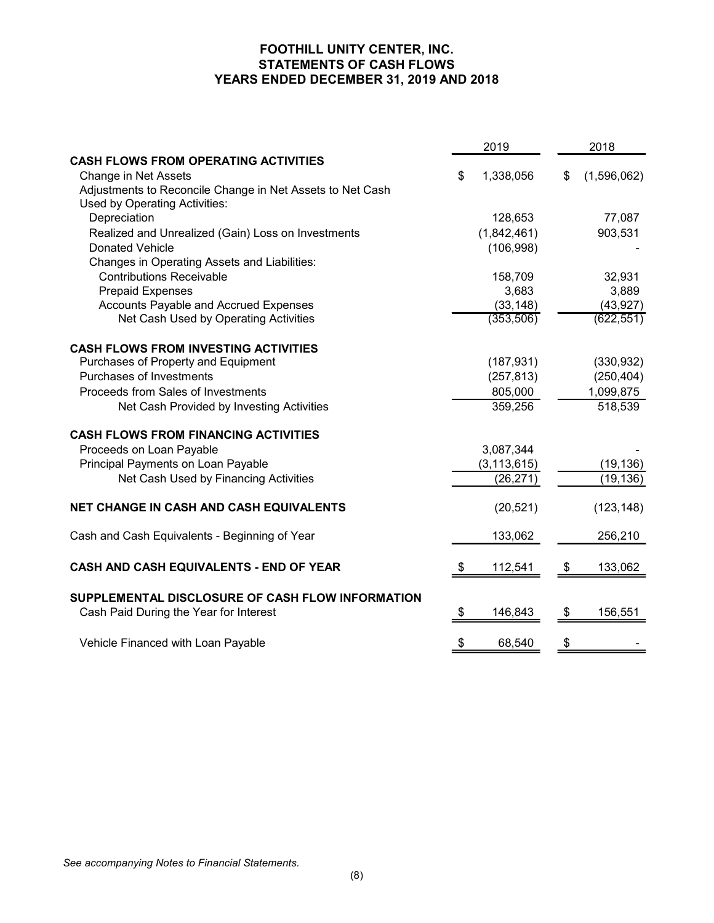# FOOTHILL UNITY CENTER, INC.<br>STATEMENTS OF CASH FLOWS FOOTHILL UNITY CENTER, INC.<br>STATEMENTS OF CASH FLOWS<br>ENDED DECEMBER 31, 2019 AND 2018 FOOTHILL UNITY CENTER, INC.<br>
STATEMENTS OF CASH FLOWS<br>
YEARS ENDED DECEMBER 31, 2019 AND 2018<br>
2019<br>
2019

| YEARS ENDED DECEMBER 31, 2019 AND 2018                                                                                           |                                      |    |                                    |
|----------------------------------------------------------------------------------------------------------------------------------|--------------------------------------|----|------------------------------------|
|                                                                                                                                  |                                      |    |                                    |
|                                                                                                                                  | 2019                                 |    | 2018                               |
| <b>CASH FLOWS FROM OPERATING ACTIVITIES</b><br>Change in Net Assets<br>Adjustments to Reconcile Change in Net Assets to Net Cash | \$<br>1,338,056                      | S. | (1,596,062)                        |
| Used by Operating Activities:<br>Depreciation<br>Realized and Unrealized (Gain) Loss on Investments<br><b>Donated Vehicle</b>    | 128,653<br>(1,842,461)<br>(106, 998) |    | 77,087<br>903,531                  |
| Changes in Operating Assets and Liabilities:<br><b>Contributions Receivable</b><br><b>Prepaid Expenses</b>                       | 158,709<br>3,683                     |    | 32,931<br>3,889                    |
| Accounts Payable and Accrued Expenses<br>Net Cash Used by Operating Activities                                                   | (33, 148)<br>(353, 506)              |    | (43, 927)<br>(622, 551)            |
| <b>CASH FLOWS FROM INVESTING ACTIVITIES</b><br>Purchases of Property and Equipment<br>Purchases of Investments                   | (187, 931)                           |    | (330, 932)                         |
| Proceeds from Sales of Investments<br>Net Cash Provided by Investing Activities                                                  | (257, 813)<br>805,000<br>359,256     |    | (250, 404)<br>1,099,875<br>518,539 |
| <b>CASH FLOWS FROM FINANCING ACTIVITIES</b><br>Proceeds on Loan Payable                                                          | 3,087,344                            |    |                                    |
| Principal Payments on Loan Payable<br>Net Cash Used by Financing Activities                                                      | (3, 113, 615)<br>(26, 271)           |    | (19, 136)<br>(19, 136)             |
| NET CHANGE IN CASH AND CASH EQUIVALENTS                                                                                          | (20, 521)                            |    | (123, 148)                         |
| Cash and Cash Equivalents - Beginning of Year                                                                                    | 133,062                              |    | 256,210                            |
| CASH AND CASH EQUIVALENTS - END OF YEAR                                                                                          | \$<br>112,541                        | \$ | 133,062                            |
| SUPPLEMENTAL DISCLOSURE OF CASH FLOW INFORMATION<br>Cash Paid During the Year for Interest                                       | \$<br>146,843                        | \$ | 156,551                            |
| Vehicle Financed with Loan Payable                                                                                               | \$<br>68,540                         | \$ |                                    |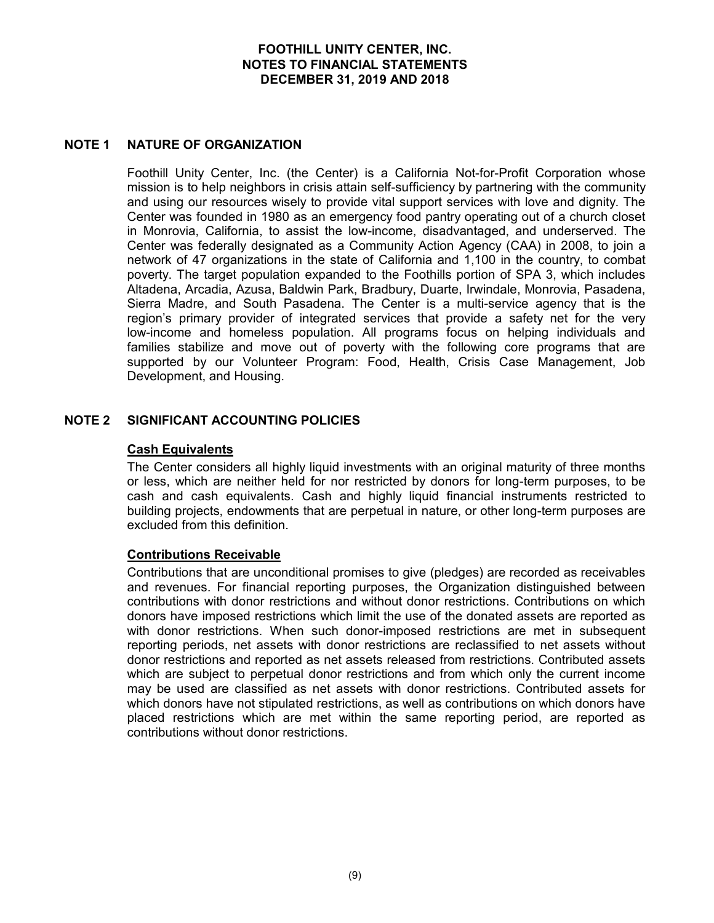FOOTHILL UNITY CENTER, INC.<br>
NOTES TO FINANCIAL STATEMENTS<br>
DECEMBER 31, 2019 AND 2018<br>
NOTE 1<br>
NATURE OF ORGANIZATION<br>
Foothill Unity Center, Inc. (the Center) is a California Not-for-Profit Corpo<br>
mission is to help neig FOOTHILL UNITY CENTER, INC.<br>
NOTES TO FINANCIAL STATEMENTS<br>
DECEMBER 31, 2019 AND 2018<br>
NATURE OF ORGANIZATION<br>
Foothill Unity Center, Inc. (the Center) is a California Not-for-Profit Corporation whose<br>
mission is to help mission is to help neighbors in crisis attain self-sufficiency by partnering with the community and using our resources wisely to provide vital support services with love and dignity. The Center was founded in 1980 as an emergency food pantry operating out of a church closet in Monrovia, California, to assist the low-income, disadvantaged, and underserved. The **FOOTHILL UNITY CENTER, INC.**<br> **NOTES TO FINANCIAL STATEMENTS**<br>
DECEMBER 31, 2019 AND 2018<br> **NATURE OF ORGANIZATION**<br>
Foothill Unity Center, Inc. (the Center) is a California Not-for-Profit Corporation whose<br>
mission is to FOOTHILL UNITY CENTER, INC.<br>
NOTES TO FINANCIAL STATEMENTS<br>
DECEMBER 31, 2019 AND 2018<br>
THE CORMIZATION<br>
Fronthill Unity Center, Inc. (the Center) is a California Not-for-Profit Corporation whose<br>
mission is to help neighb network of 47 organizations in the state of California and 1,100 in the country, to combat **FOOTHILL UNITY CENTER, INC.**<br> **NOTES TO FINANCIAL STATEMENTS**<br> **DECEMBER 31, 2019 AND 2018**<br> **FOOTHILL UNITY CENTER TO AND 2018**<br> **FOOTHILL UNITY CENTER (TO THE TARGE POSITE AND AND AND A SURFER TO THE COMPOSITION**<br> **CONT** Altadena, Arcadia, Azusa, Baldwin Park, Bradbury, Duarte, Irwindale, Monrovia, Pasadena, Sierra Madre, and South Pasadena. The Center is a multi-service agency that is the region's primary provider of integrated services that provide a safety net for the very FOOTHILL UNITY CENTER, INC.<br>
NOTES TO FINANCIAL STATEMENTS<br>
DECEMBER 31, 2019 AND 2018<br>
Foothill Unity Center, Inc. (the Center) is a California Not-for-Profit Corporation whose<br>
mission is to help neighbors in critis atta families stabilize and move out of poverty with the following core programs that are supported by our Volunteer Program: Food, Health, Crisis Case Management, Job Development, and Housing. **NOTE 1 NATURE OF ORGANIZATION**<br>
Foothill Unity Center, Inc. (the Center) is a California Not-for-Profit Corporation<br>
mission is to help neighbors in crisis attain self-sufficiency by partnering with the com<br>
and using our

## Cash Equivalents

The Center considers all highly liquid investments with an original maturity of three months or less, which are neither held for nor restricted by donors for long-term purposes, to be cash and cash equivalents. Cash and highly liquid financial instruments restricted to building projects, endowments that are perpetual in nature, or other long-term purposes are excluded from this definition.

## Contributions Receivable

Contributions that are unconditional promises to give (pledges) are recorded as receivables and revenues. For financial reporting purposes, the Organization distinguished between contributions with donor restrictions and without donor restrictions. Contributions on which donors have imposed restrictions which limit the use of the donated assets are reported as with donor restrictions. When such donor-imposed restrictions are met in subsequent reporting periods, net assets with donor restrictions are reclassified to net assets without donor restrictions and reported as net assets released from restrictions. Contributed assets which are subject to perpetual donor restrictions and from which only the current income **SIGNIFICANT ACCOUNTING POLICIES**<br> **Cash Equivalents**<br>
The Center considers all highty liquid investments with an original maturity of three months<br>
The Center considers are interest between the form of restricted by donor which donors have not stipulated restrictions, as well as contributions on which donors have placed restrictions which are met within the same reporting period, are reported as contributions without donor restrictions.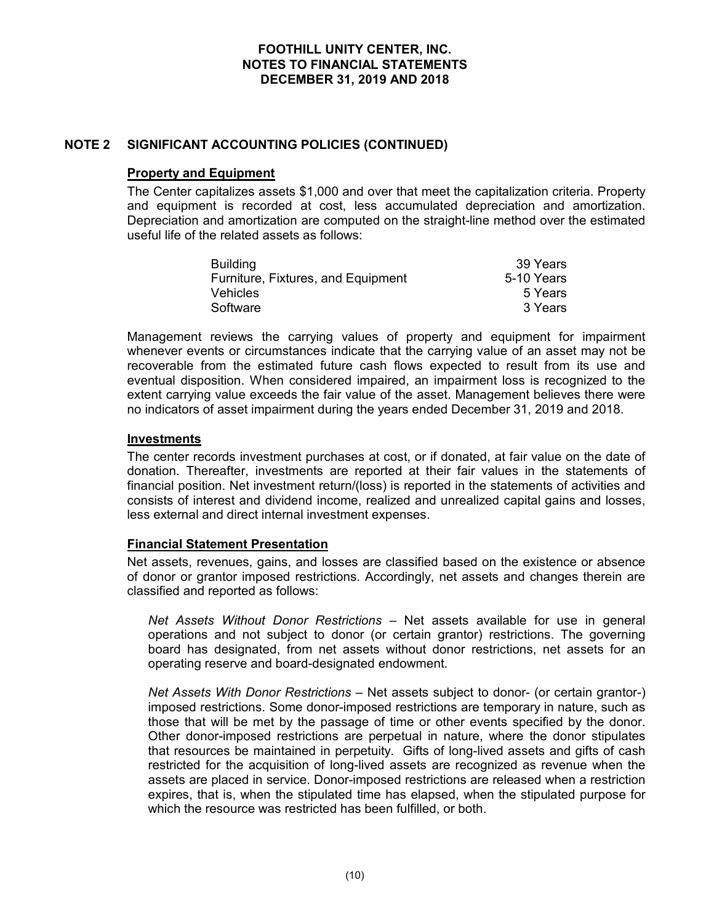## Property and Equipment

FOOTHILL UNITY CENTER, INC.<br>
NOTES TO FINANCIAL STATEMENTS<br>
DECEMBER 31, 2019 AND 2018<br>
NOTE 2 SIGNIFICANT ACCOUNTING POLICIES (CONTINUED)<br>
Property and Equipment<br>
The Center capitalizes assets \$1,000 and over that meet th The Center capitalizes assets \$1,000 and over that meet the capitalization criteria. Property and equipment is recorded at cost, less accumulated depreciation and amortization. Depreciation and amortization are computed on the straight-line method over the estimated useful life of the related assets as follows: FOOTHILL UNITY CENTER, INC.<br>
NOTES TO FINANCIAL STATEMENTS<br>
DECEMBER 31, 2019 AND 2018<br>
ACCOUNTING POLICIES (CONTINUED)<br>
Equipment<br>
tis recorded at cost, less accumulated depreciation criteria. Property<br>
tis recorded at co FOOTHILL UNITY CENTER, INC.<br>
NOTES TO FINANCIAL STATEMENTS<br>
DECEMBER 31, 2019 AND 2018<br>
ACCOUNTING POLICIES (CONTINUED)<br>
Equipment<br>
trializes assets \$1,000 and over that meet the capitalization criteria. Property<br>
tis reco FOOTHILL UNITY CENTER, INC.<br>
NOTES TO FINANCIAL STATEMENTS<br>
DECEMBER 31, 2019 AND 2018<br>
ACCOUNTING POLICIES (CONTINUED)<br>
Equipment<br>
tis recorded at cost, less accumulated depreciation criteria. Property<br>
tis recorded at co FOOTHILL UNITY CENTER, INC.<br>
NOTES TO FINANCIAL STATEMENTS<br>
DECEMBER 31, 2019 AND 2018<br>
ACCOUNTING POLICIES (CONTINUED)<br>
Equipment<br>
intilizes assets \$1,000 and over that meet the capitalization criteria. Property<br>
intilize

| <b>Building</b>                    | 39 Years   |
|------------------------------------|------------|
| Furniture, Fixtures, and Equipment | 5-10 Years |
| <b>Vehicles</b>                    | 5 Years    |
| Software                           | 3 Years    |

Management reviews the carrying values of property and equipment for impairment FOOTHILL UNITY CENTER, INC.<br>
NOTES TO FINANCIAL STATEMENTS<br>
DECEMBER 31, 2019 AND 2018<br>
SIGNIFICANT ACCOUNTING POLICIES (CONTINUED)<br>
Property and Equipment<br>
The Center capitalizes assets \$1,000 and over that meet the capit recoverable from the estimated future cash flows expected to result from its use and eventual disposition. When considered impaired, an impairment loss is recognized to the extent carrying value exceeds the fair value of the asset. Management believes there were SIGNIFICANT ACCOUNTING POLICIES (CONTINUED)<br>
Property and Equipment<br>
The Center capitalizes assets \$1,000 and over that meet the capitalization criteria. Property<br>
Depreciation and enordization are computed on the straight nagement reviews the carrying values of property and equipment for impairment<br>enverable from the estimated future cash flows expected to result from its use and<br>tutal disposition. When considered impaired, an impairment lo mever events or circumstrances iniclate that the carrying value of an asset may not be a<br>swerable from the estimated future cash flows expected to result from its use and<br>thual disposition. When considered impaired, an imp

## Investments

The center records investment purchases at cost, or if donated, at fair value on the date of donation. Thereafter, investments are reported at their fair values in the statements of financial position. Net investment return/(loss) is reported in the statements of activities and consists of interest and dividend income, realized and unrealized capital gains and losses, less external and direct internal investment expenses.

## Financial Statement Presentation

Net assets, revenues, gains, and losses are classified based on the existence or absence of donor or grantor imposed restrictions. Accordingly, net assets and changes therein are classified and reported as follows:

operations and not subject to donor (or certain grantor) restrictions. The governing operating reserve and board-designated endowment.

int carrying value exceeds the fair value of the asset. Management believes there were<br>assets ments<br>assets impairment during the years ended December 31, 2019 and 2018.<br>
Set center records investment purchases at cost, or imposed restrictions. Some donor-imposed restrictions are temporary in nature, such as those that will be met by the passage of time or other events specified by the donor. **Extramates**<br>
certer records investment purchases at cost, or if donated, at fair value on the date of<br>
certoin. Thereafter, investment retunn/(loss) is reported in the statements of coltivities and<br>
constal position. Net that resources be maintained in perpetuity. Gifts of long-lived assets and gifts of cash restricted for the acquisition of long-lived assets are recognized as revenue when the noial position. Net investment return/(loss) is reported in the statements of activities and sists of interest and dividend income, realized are unrealized capital gains and osses, external advirent at metalizer and unreal expires, that is, when the stipulated time has elapsed, when the stipulated purpose for which the resource was restricted has been fulfilled, or both.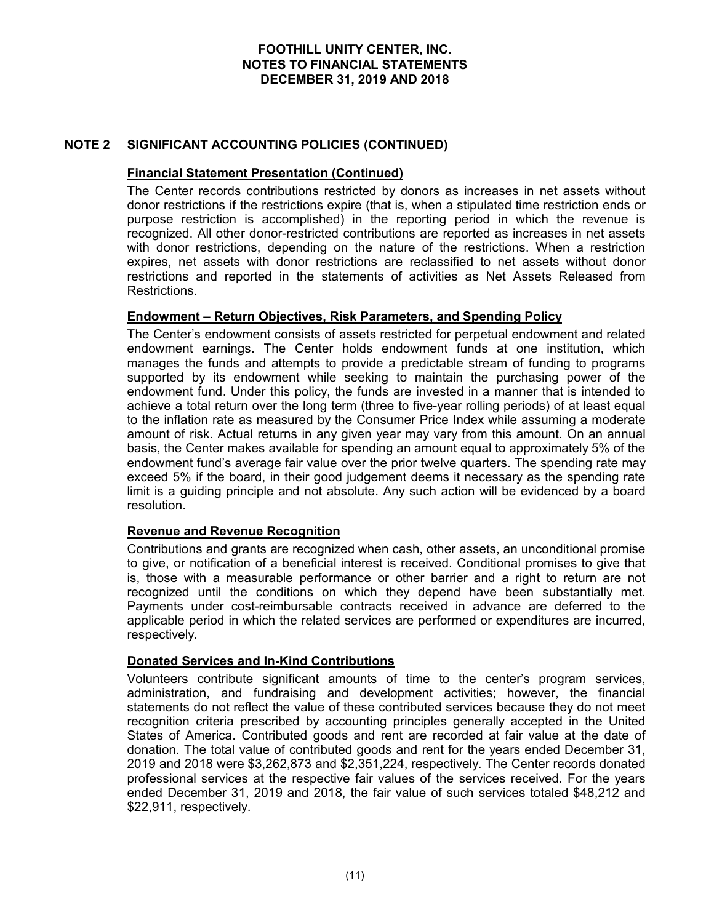## Financial Statement Presentation (Continued)

FOOTHILL UNITY CENTER, INC.<br>
NOTES TO FINANCIAL STATEMENTS<br>
DECEMBER 31, 2019 AND 2018<br>
NOTE 2 SIGNIFICANT ACCOUNTING POLICIES (CONTINUED)<br>
Financial Statement Presentation (Continued)<br>
The Center records contributions res FOOTHILL UNITY CENTER, INC.<br>
NOTES TO FINANCIAL STATEMENTS<br>
DECEMBER 31, 2019 AND 2018<br>
SIGNIFICANT ACCOUNTING POLICIES (CONTINUED)<br>
Financial Statement Presentation (Continued)<br>
The Center records contributions restricted FOOTHILL UNITY CENTER, INC.<br>
NOTES TO FINANCIAL STATEMENTS<br>
DECEMBER 31, 2019 AND 2018<br>
SIGNIFICANT ACCOUNTING POLICIES (CONTINUED)<br>
The Center records contributions restricted by donors as increases in net assets without<br> purpose restriction is accomplished) in the reporting period in which the revenue is FOOTHILL UNITY CENTER, INC.<br>
NOTES TO FINANCIAL STATEMENTS<br>
DECEMBER 31, 2019 AND 2018<br>
SIGNIFICANT ACCOUNTING POLICIES (CONTINUED)<br>
Financial Statement Presentation (Continued)<br>
The Center records contributions restricted with donor restrictions, depending on the nature of the restrictions. When a restriction expires, net assets with donor restrictions are reclassified to net assets without donor **FOOTHILL UNITY CENTER, INC.**<br> **NOTES TO FINANCIAL STATEMENTS**<br> **DECEMBER 31, 2019 AND 2018**<br> **SIGNIFICANT ACCOUNTING POLICIES (CONTINUED)**<br> **Financial Statement Presentation (Continued)**<br>
The Center records contributions Restrictions. FOOTHILL UNITY CENTER, INC.<br>
NOTES TO FINANCIAL STATEMENTS<br>
DECEMBER 31, 2019 AND 2018<br>
SIGNIFICANT ACCOUNTING POLICIES (CONTINUED)<br>
Financial Statement Presentation (Continued)<br>
The Center records continuations restricted FOOTHILL UNITY CENTER, INC.<br>
NOTES TO FINANCIAL STATEMENTS<br>
DECEMBER 31, 2019 AND 2018<br>
SIGNIFICANT ACCOUNTING POLICIES (CONTINUED)<br>
The Center records contributions restricted by donors as increases in net assets without<br> FOOTHILL UNITY CENTER, INC.<br>
NOTES TO FINANCIAL STATEMENTS<br>
DECEMBER 31, 2019 AND 2018<br>
SIGNIFICANT ACCOUNTING POLICIES (CONTINUED)<br>
Financial Statement Presentation (Continued)<br>
The Center records contributions restricted

manages the funds and attempts to provide a predictable stream of funding to programs supported by its endowment while seeking to maintain the purchasing power of the **SIGNIFICANT ACCOUNTING POLICIES (CONTINUED)**<br> **Einancial Statement Presentation (Continued)**<br>
The Center records contibutions restricted by donors as increases in net assets without<br>
The Center records contibutions restri achieve a total return over the long term (three to five-year rolling periods) of at least equal **SIGNIFICANT ACCOUNTING POLICIES (CONTINUED)**<br> **Einancial Statement Presentation (Continued)**<br>
The Center records contributions restricted by donors as increases in net assets without<br>
donor restrictions if the restriction **SIGNIFICANT ACCOUNTING POLICIES (CONTINUED)**<br>The Center records contributions restricted by donors as increases in net assets without<br>The Center records contributions restricted by donors as increases in net assets withou basis, the Center makes available for spending an amount equal to approximately 5% of the **Einancial Statement Presentation (Continued)**<br>The Center records contributions restricted by donors as increases in net assets without<br>The Center records contributions restricted contributions are reported as increases in exceed 5% if the board, in their good judgement deems it necessary as the spending rate limit is a guiding principle and not absolute. Any such action will be evidenced by a board resolution. expires, net assets with donor restrictions are reclassified to net assets without donor<br>restrictions and reported in the statements of activities as Net Assets Released from<br>Restrictions.<br>**Endowment – Return Objectivese,** Restrictions.<br> **Endowment – Return Objectives, Risk Parameters, and Spending Policy**<br> **EThe Center's endowment consists of assets restricted for perpetual endowment and related<br>
endowment earnings. The Center holds endowme** supported by its endowment while seeking to maintain the purchasing power of the contributed do achieve a total return over the long term (three to five-year rolling periods) of at least equal to the inflation rate as meas

## Revenue and Revenue Recognition

Contributions and grants are recognized when cash, other assets, an unconditional promise is, those with a measurable performance or other barrier and a right to return are not Payments under cost-reimbursable contracts received in advance are deferred to the applicable period in which the related services are performed or expenditures are incurred, respectively.

## Donated Services and In-Kind Contributions

administration, and fundraising and development activities; however, the financial statements do not reflect the value of these contributed services because they do not meet recognition criteria prescribed by accounting principles generally accepted in the United States of America. Contributed goods and rent are recorded at fair value at the date of donation. The total value of contributed goods and rent for the years ended December 31, basis, the Center makes a valuable tor spending an amount equal to approximately 5% of the spending and anot equal to approximately 5% of the spending rate may exceed 5% if the board, in their good judgement deems it neces endowment fund's average fair value over the prior fwelve quarters. The spending rate may<br>exceed 5% if the board, in their good judgement deems it necessary as the spending rate<br>limit is a guiding principle and not absolut exceed <sup>59</sup>% if the board, in their good judgement deems it necessary as the spending rate<br>limit is a guiding principle and not absolute. Any such action will be evidenced by a board<br>resolution.<br>**Revenue and Revenue Recogn** limit is a guiding principle and not absolute. Any such action will be evidenced by a board<br>**Revenue and Revenue Recognition**<br>Contributions and grants are recognized when cash, other assets, an unconditional promise<br>is the \$22,911, respectively.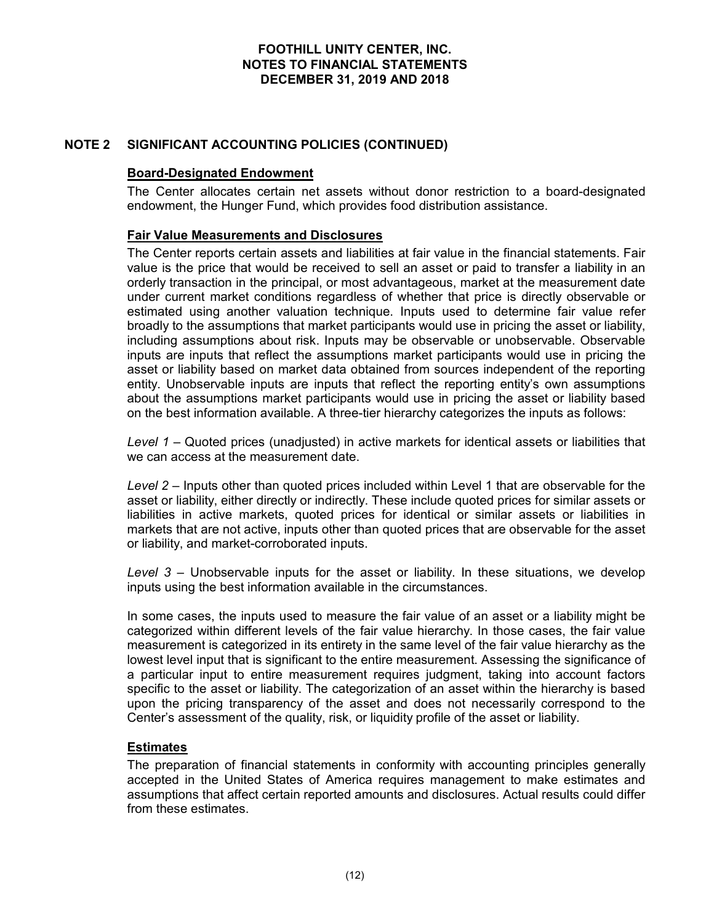## Board-Designated Endowment

FOOTHILL UNITY CENTER, INC.<br>
NOTES TO FINANCIAL STATEMENTS<br>
DECEMBER 31, 2019 AND 2018<br>
NOTE 2 SIGNIFICANT ACCOUNTING POLICIES (CONTINUED)<br>
Board-Designated Endowment<br>
The Center allocates certain net assets without donor FOOTHILL UNITY CENTER, INC.<br>
NOTES TO FINANCIAL STATEMENTS<br>
DECEMBER 31, 2019 AND 2018<br>
SIGNIFICANT ACCOUNTING POLICIES (CONTINUED)<br>
Board-Designated Endowment<br>
The Center allocates certain net assets without donor restric

## Fair Value Measurements and Disclosures

FOOTHILL UNITY CENTER, INC.<br>
NOTES TO FINANCIAL STATEMENTS<br>
DECEMBER 31, 2019 AND 2018<br>
SIGNIFICANT ACCOUNTING POLICIES (CONTINUED)<br> **Board-Designated Endowment**<br>
The Center allocates certain net assets without donor restr The Center reports certain assets and liabilities at fair value in the financial statements. Fair value is the price that would be received to sell an asset or paid to transfer a liability in an orderly transaction in the principal, or most advantageous, market at the measurement date under current market conditions regardless of whether that price is directly observable or **FOOTHILL UNITY CENTER, INC.**<br> **NOTES TO FINANCIAL STATEMENTS**<br>
DECEMBER 31, 2019 AND 2018<br>
SIGNIFICANT ACCOUNTING POLICIES (CONTINUED)<br> **Board-Designated Endowment**<br>
The Center rallocates certain net assets without donor broadly to the assumptions that market participants would use in pricing the asset or liability, including assumptions about risk. Inputs may be observable or unobservable. Observable inputs are inputs that reflect the assumptions market participants would use in pricing the asset or liability based on market data obtained from sources independent of the reporting entity. Unobservable inputs are inputs that reflect the reporting entity's own assumptions about the assumptions market participants would use in pricing the asset or liability based on the best information available. A three-tier hierarchy categorizes the inputs as follows: **SIGNIFICANT ACCOUNTING POLICIES (CONTINUED)**<br> **Board-Designated Endowment**<br>
The Center allocates certain net assets without donor restriction to a board-designated<br>
The Center reports certain net assets and labilities at **Board-Designated Endowment**<br>The Center allocates certain net assets without donor restriction to a board-designated<br>endowment, the Hunger Fund, which provides food distribution assistance.<br>The Center repots certain assets The Center allocates certain net assets without donor restriction to a board-designated<br> **Fair Value Measurements and Disclosures**<br> **The Center reports certain assets and liabilities at fair value in the financial statemen** value is un plinte unat would be retectivel to sell and search plant of usins the propertient market controlling regardless of whether that prioc is directly observable or under current market contriductions regardless of of the material and the principle in the state of the the state of the state of the state of the state of the detect in the state of the best information technique. Inputs used to determine fair value reforms that market p

asset or liability, either directly or indirectly. These include quoted prices for similar assets or liabilities in active markets, quoted prices for identical or similar assets or liabilities in markets that are not active, inputs other than quoted prices that are observable for the asset or liability, and market-corroborated inputs.

In some cases, the inputs used to measure the fair value of an asset or a liability might be categorized within different levels of the fair value hierarchy. In those cases, the fair value measurement is categorized in its entirety in the same level of the fair value hierarchy as the mpais are inputs using the test unit entire that painting was the product of the reporting. Unobservable inputs and the entire particular about the assumptions about the assumptions market participants would use in pricing a particular input to entire measurement requires judgment, taking into account factors specific to the asset or liability. The categorization of an asset within the hierarchy is based upon the pricing transparency of the asset and does not necessarily correspond to the Center's assessment of the quality, risk, or liquidity profile of the asset or liability.

## **Estimates**

The preparation of financial statements in conformity with accounting principles generally accepted in the United States of America requires management to make estimates and assumptions that affect certain reported amounts and disclosures. Actual results could differ from these estimates.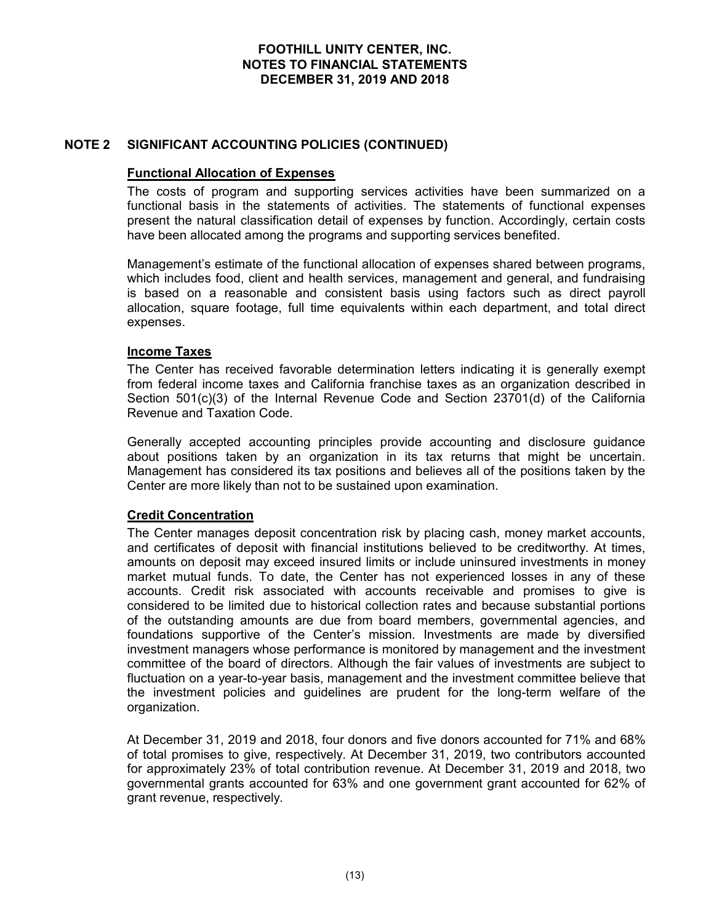## Functional Allocation of Expenses

FOOTHILL UNITY CENTER, INC.<br>
NOTES TO FINANCIAL STATEMENTS<br>
DECEMBER 31, 2019 AND 2018<br>
NOTE 2 SIGNIFICANT ACCOUNTING POLICIES (CONTINUED)<br>
Functional Allocation of Expenses<br>
The costs of program and supporting services ac The costs of program and supporting services activities have been summarized on a FOOTHILL UNITY CENTER, INC.<br>
NOTES TO FINANCIAL STATEMENTS<br>
DECEMBER 31, 2019 AND 2018<br>
SIGNIFICANT ACCOUNTING POLICIES (CONTINUED)<br>
Functional Allocation of Expenses<br>
The costs of program and supporting services activitie present the natural classification detail of expenses by function. Accordingly, certain costs have been allocated among the programs and supporting services benefited.

Management's estimate of the functional allocation of expenses shared between programs, FOOTHILL UNITY CENTER, INC.<br>
NOTES TO FINANCIAL STATEMENTS<br>
DECEMBER 31, 2019 AND 2018<br>
SIGNIFICANT ACCOUNTING POLICIES (CONTINUED)<br>
Functional Allocation of Expenses<br>
functional and supporting services activities have bee is based on a reasonable and consistent basis using factors such as direct payroll **FOOTHILL UNITY CENTER, INC.**<br> **NOTES TO FINANCIAL STATEMENTS**<br>
DECEMBER 31, 2019 AND 2018<br> **SIGNIFICANT ACCOUNTING POLICIES (CONTINUED)**<br> **Functional Allocation of Expenses**<br>
The costs of program and supporting services a expenses. **SIGNIFICANT ACCOUNTING POLICIES (CONTINUED)**<br> **Functional Allocation of Expenses**<br>
The costs of program and supporting services activities have been summarized on a<br>
functional basis in the statements of activities. The s

## Income Taxes

The Center has received favorable determination letters indicating it is generally exempt Section 501(c)(3) of the Internal Revenue Code and Section 23701(d) of the California Revenue and Taxation Code.

Generally accepted accounting principles provide accounting and disclosure guidance about positions taken by an organization in its tax returns that might be uncertain. Management has considered its tax positions and believes all of the positions taken by the Center are more likely than not to be sustained upon examination.

## Credit Concentration

The Center manages deposit concentration risk by placing cash, money market accounts, and certificates of deposit with financial institutions believed to be creditworthy. At times, amounts on deposit may exceed insured limits or include uninsured investments in money which includes food, client and health services, management and general, and fundraising<br>is based on a reasonable and consistent basis using factors such as direct payoli<br>allocation, square footage, full time equivalents w accounts. Credit risk associated with accounts receivable and promises to give is considered to be limited due to historical collection rates and because substantial portions of the outstanding amounts are due from board members, governmental agencies, and **Income Taxes**<br>The Center has received favorable determination letters indicating it is generally exempt<br>from federal income taxes and California franchise taxes as an organization described in<br>Section 501(c)(3) of the Int **Income Taxes**<br>The Center has received favorable determination letters indicating it is generally exempt<br>from federal income taxes and California franchise taxes as an organization described in<br>Section 501(c)(3) of the Int committee of the board of directors. Although the fair values of investments are subject to from federal income taxes and California franchise taxes as an organization described in<br>Section 501(c)(3) of the internal Revenue Code and Section 23701(d) of the California<br>Sevenue and Taxation Code.<br>Senerally accepted Section 501(c)(3) of the Internal Revenue Code and Section 23701(d) of the California<br>Revenue and Taxation Code.<br>
Generally accepted accounting principles provide accounting and disclosure guidance<br>
Gabut positions taken b organization. Generally accepted accounting principles provide accounting and disclosure guidance electron.<br>About positions taken by an organization in its tax returns that inight be uncertain.<br>Management has considered its tax position Management has considered its tax positions and believes all of the positions taken by the Center are more likely than not to be sustained upon examination.<br> **Credit Concentration** and to be sustained upon examination.<br>
Th

of total promises to give, respectively. At December 31, 2019, two contributors accounted governmental grants accounted for 63% and one government grant accounted for 62% of grant revenue, respectively.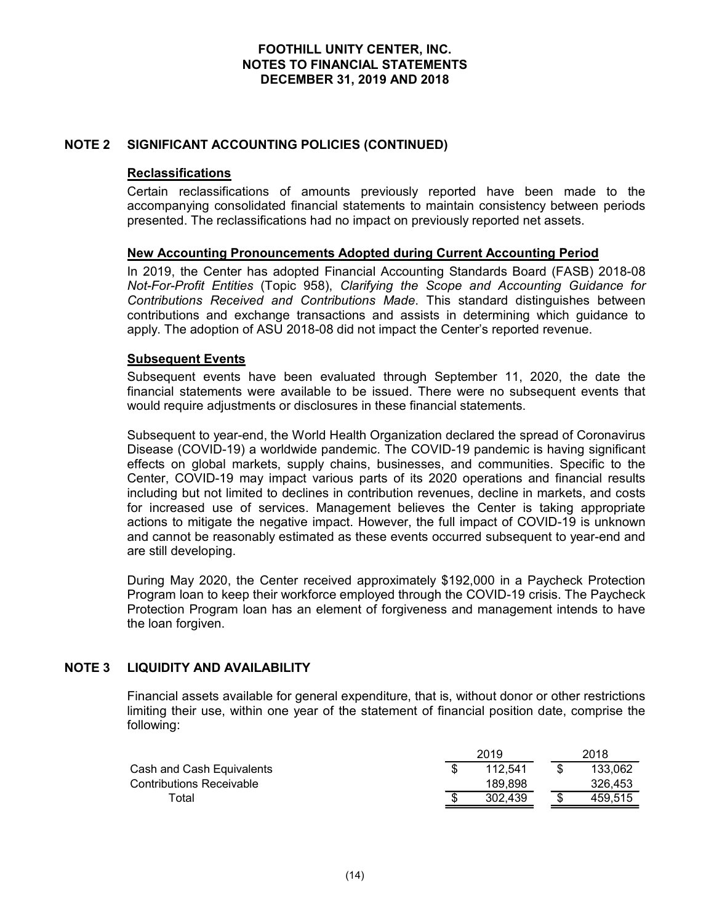## Reclassifications

FOOTHILL UNITY CENTER, INC.<br>
NOTES TO FINANCIAL STATEMENTS<br>
DECEMBER 31, 2019 AND 2018<br>
NOTE 2 SIGNIFICANT ACCOUNTING POLICIES (CONTINUED)<br>
Reclassifications<br>
Certain reclassifications of amounts previously reported have b Certain reclassifications of amounts previously reported have been made to the accompanying consolidated financial statements to maintain consistency between periods presented. The reclassifications had no impact on previously reported net assets.

FOOTHILL UNITY CENTER, INC.<br>
NOTES TO FINANCIAL STATEMENTS<br>
DECEMBER 31, 2019 AND 2018<br>
SIGNIFICANT ACCOUNTING POLICIES (CONTINUED)<br>
Reclassifications<br>
Certain reclassifications of amounts previously reported have been mad FOOTHILL UNITY CENTER, INC.<br>
NOTES TO FINANCIAL STATEMENTS<br>
DECEMBER 31, 2019 AND 2018<br>
SIGNIFICANT ACCOUNTING POLICIES (CONTINUED)<br>
Reclassifications<br>
Certain reclassifications of amounts previously reported have been mad Not-For-Profit Entities (Topic 958), Clarifying the Scope and Accounting Guidance for Contributions Received and Contributions Made. This standard distinguishes between contributions and exchange transactions and assists in determining which guidance to apply. The adoption of ASU 2018-08 did not impact the Center's reported revenue. FOOTHILL UNITY CENTER, INC.<br>
NOTES TO FINANCIAL STATEMENTS<br>
DECEMBER 31, 2019 AND 2018<br>
SIGNIFICANT ACCOUNTING POLICIES (CONTINUED)<br>
Reclassifications<br>
Certain reclassifications of amounts previously reported have been mad **SIGNIFICANT ACCOUNTING POLICIES (CONTINUED)**<br> **Reclassifications**<br> **Reclassifications**<br> **Certain reclassifications** of amounts previously reported have been made to the<br>
accompanying consolidated financial statements to m

## Subsequent Events

financial statements were available to be issued. There were no subsequent events that would require adjustments or disclosures in these financial statements.

Subsequent to year-end, the World Health Organization declared the spread of Coronavirus Disease (COVID-19) a worldwide pandemic. The COVID-19 pandemic is having significant effects on global markets, supply chains, businesses, and communities. Specific to the Center, COVID-19 may impact various parts of its 2020 operations and financial results Certain reclassifications of amounts previously reported have been made to the companying consolidated financial statements to mathain consistency between periods presented. The reclassifications had no impact on previousl accompanying consolidated linancial statements to maintain consistency between periods<br>presented. The reclassifications had no impact on previously reported net assets.<br>
New Accounting Pronouncements Adopted during Current presented. The reclassifications had no impact on previously reported net assets.<br>
New Accounting Pronouncements Adopted during Current Accounting Period<br>
In 2019, the Center has adopted Financial Accounting Standards Boar and cannot be reasonably estimated as these events occurred subsequent to year-end and are still developing. Subsequent events have been evaluated through September 11, 2020, the simulation of the simulation of the issued. There were no subsequent would require adjustments or disclosures in these financial statements.<br>Subsequent banderinc is having significant<br>communities. Specific to the<br>erations and financial results<br>decline in markets, and costs<br>Center is taking appropriate<br>bact of COVID-19 is unknown<br>d subsequent to year-end and<br>000 in a Paych Substructure of the declinest supply values. Substresses, and continuousles, specific to the Cash Cash Cash Cash Control of declines in contribution revenues, decline in markets, and costs<br>or increased use of services. Man Security Contrained Technomic and the matter is on the Sizon operations and minimizar results of chieflest particles in contribution revenues, decline in markets, and costs<br>or increased use of services. Management believe

During May 2020, the Center received approximately \$192,000 in a Paycheck Protection Program loan to keep their workforce employed through the COVID-19 crisis. The Paycheck Protection Program loan has an element of forgiveness and management intends to have the loan forgiven.

Financial assets available for general expenditure, that is, without donor or other restrictions limiting their use, within one year of the statement of financial position date, comprise the following:

| 2019    |   | 2018    |
|---------|---|---------|
| 112.541 | ◡ | 133,062 |
| 189,898 |   | 326.453 |
| 302.439 |   | 459,515 |
|         |   |         |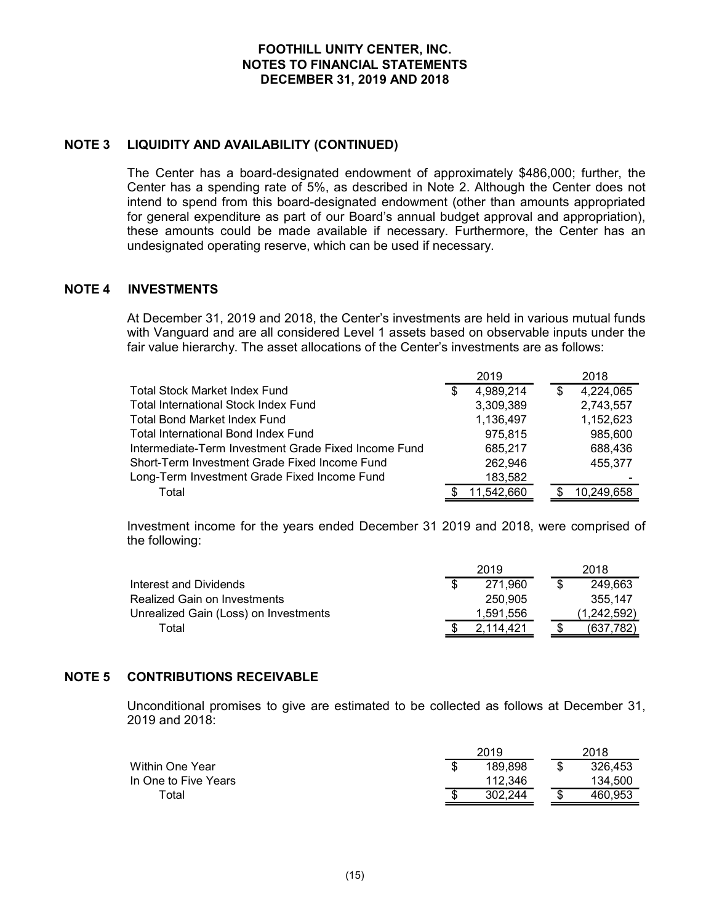FOOTHILL UNITY CENTER, INC.<br>
NOTES TO FINANCIAL STATEMENTS<br>
DECEMBER 31, 2019 AND 2018<br>
NOTE 3 LIQUIDITY AND AVAILABILITY (CONTINUED)<br>
The Center has a board-designated endowment of approximately \$486,000;<br>
Center has a sp FOOTHILL UNITY CENTER, INC.<br>
NOTES TO FINANCIAL STATEMENTS<br>
DECEMBER 31, 2019 AND 2018<br>
LIQUIDITY AND AVAILABILITY (CONTINUED)<br>
The Center has a board-designated endowment of approximately \$486,000; further, the<br>
Center ha FOOTHILL UNITY CENTER, INC.<br>
NOTES TO FINANCIAL STATEMENTS<br>
DECEMBER 31, 2019 AND 2018<br>
LIQUIDITY AND AVAILABILITY (CONTINUED)<br>
The Center has a board-designated endowment of approximately \$486,000; further, the<br>
Center ha intend to spend from this board-designated endowment (other than amounts appropriated for general expenditure as part of our Board's annual budget approval and appropriation), FOOTHILL UNITY CENTER, INC.<br>
NOTES TO FINANCIAL STATEMENTS<br>
DECEMBER 31, 2019 AND 2018<br>
LIQUIDITY AND AVAILABILITY (CONTINUED)<br>
The Center has a board-designated endowment of approximately \$486,000; further, the<br>
Center ha FOOTHILL UNITY CENTER, INC.<br>
NOTES TO FINANCIAL STATEMENTS<br>
DECEMBER 31, 2019 AND 2018<br>
LIQUIDITY AND AVAILABILITY (CONTINUED)<br>
The Center has a board-designated endowment of approximately \$486,000; fur<br>
Center has a spend FOOTHILL UNITY CENTER, INC.<br>
NOTES TO FINANCIAL STATEMENTS<br>
DECEMBER 31, 2019 AND 2018<br>
NOTE 3 LIQUIDITY AND AVAILABILITY (CONTINUED)<br>
The Center has a board-designated endowment of approximately<br>
Center has a spending rat **FOOTHILL UNITY CENTER. INC.**<br> **NOTES TO FINANCIAL STATEMENTS**<br>
DECEMBER 31, 2019 AND 2018<br> **LIQUIDITY AND AVAILABILITY (CONTINUED)**<br>
The Center has a spending rate of 5%, as described in Note 2. Although the Center does **FOOTHILL UNITY CENTER, INC.**<br> **NOTES TO FINANCIAL STATEMENTS**<br>
DECEMBER 31, 2019 AND 2018<br>
LIQUIDITY AND AVAILABILITY (CONTINUED)<br>
The Center has a spending rate of 5%, as described in Note 2. Although the Center these n **FAOTHILL UNITY CENTER, INC.**<br> **FACTER STATEMENTS**<br> **ELQUIDITY AND AVAILABILITY (CONTINUED)**<br>
The Center has a beard-designated endowment of approximately \$486,000; further, the<br>
Center has a peard designated endowment of mately \$486,000; further, the<br>Although the Center does not<br>er than amounts appropriated<br>t approval and appropriation),<br>thermore, the Center has an<br>ary.<br>e held in various mutual funds<br>n observable inputs under the<br>stremts a

| <b>NOTE 3</b> | LIQUIDITY AND AVAILABILITY (CONTINUED)                                                                                                                                                                                                                                                                                                                                                                                                                                                                                        |                                                |                                                      |
|---------------|-------------------------------------------------------------------------------------------------------------------------------------------------------------------------------------------------------------------------------------------------------------------------------------------------------------------------------------------------------------------------------------------------------------------------------------------------------------------------------------------------------------------------------|------------------------------------------------|------------------------------------------------------|
|               | The Center has a board-designated endowment of approximately \$486,000; further, the<br>Center has a spending rate of 5%, as described in Note 2. Although the Center does not<br>intend to spend from this board-designated endowment (other than amounts appropriated<br>for general expenditure as part of our Board's annual budget approval and appropriation),<br>these amounts could be made available if necessary. Furthermore, the Center has an<br>undesignated operating reserve, which can be used if necessary. |                                                |                                                      |
| <b>NOTE 4</b> | <b>INVESTMENTS</b>                                                                                                                                                                                                                                                                                                                                                                                                                                                                                                            |                                                |                                                      |
|               | At December 31, 2019 and 2018, the Center's investments are held in various mutual funds<br>with Vanguard and are all considered Level 1 assets based on observable inputs under the<br>fair value hierarchy. The asset allocations of the Center's investments are as follows:                                                                                                                                                                                                                                               |                                                |                                                      |
|               |                                                                                                                                                                                                                                                                                                                                                                                                                                                                                                                               | 2019                                           | 2018                                                 |
|               | <b>Total Stock Market Index Fund</b><br><b>Total International Stock Index Fund</b><br><b>Total Bond Market Index Fund</b><br><b>Total International Bond Index Fund</b>                                                                                                                                                                                                                                                                                                                                                      | 4,989,214<br>3,309,389<br>1,136,497<br>975,815 | 4,224,065<br>\$<br>2,743,557<br>1,152,623<br>985,600 |
|               | Intermediate-Term Investment Grade Fixed Income Fund<br>Short-Term Investment Grade Fixed Income Fund<br>Long-Term Investment Grade Fixed Income Fund<br>Total                                                                                                                                                                                                                                                                                                                                                                | 685,217<br>262,946<br>183,582<br>11,542,660    | 688,436<br>455,377<br>10,249,658<br>S.               |
|               | Investment income for the years ended December 31 2019 and 2018, were comprised of<br>the following:                                                                                                                                                                                                                                                                                                                                                                                                                          |                                                |                                                      |
|               | <b>Interest and Dividends</b><br><b>Realized Gain on Investments</b><br>Unrealized Gain (Loss) on Investments                                                                                                                                                                                                                                                                                                                                                                                                                 | 2019<br>271,960<br>250,905<br>1,591,556        | 2018<br>249,663<br>\$.<br>355,147<br>(1, 242, 592)   |
|               | Total                                                                                                                                                                                                                                                                                                                                                                                                                                                                                                                         | 2,114,421                                      | \$<br>(637, 782)                                     |
| <b>NOTE 5</b> | <b>CONTRIBUTIONS RECEIVABLE</b><br>Unconditional promises to give are estimated to be collected as follows at December 31,                                                                                                                                                                                                                                                                                                                                                                                                    |                                                |                                                      |
|               | 2019 and 2018:                                                                                                                                                                                                                                                                                                                                                                                                                                                                                                                |                                                |                                                      |
|               | Within One Year<br>In One to Five Years                                                                                                                                                                                                                                                                                                                                                                                                                                                                                       | 2019<br>189,898<br>-SG<br>112,346              | 2018<br>\$<br>326,453<br>134,500                     |
|               | Total                                                                                                                                                                                                                                                                                                                                                                                                                                                                                                                         | 302,244                                        | 460.953<br>ፍ                                         |

| Thtermediate-Term Investment Grade Fixed Income Fund                                    | 685,217       | 688,436                              |
|-----------------------------------------------------------------------------------------|---------------|--------------------------------------|
| Short-Term Investment Grade Fixed Income Fund                                           | 262,946       | 455,377                              |
| Long-Term Investment Grade Fixed Income Fund                                            | 183,582       |                                      |
| Total                                                                                   | 11,542,660    | 10,249,658                           |
|                                                                                         |               |                                      |
| Investment income for the years ended December 31 2019 and 2018, were comprised of      |               |                                      |
| the following:                                                                          |               |                                      |
|                                                                                         | 2019          | 2018                                 |
| <b>Interest and Dividends</b>                                                           | 271,960<br>\$ | $\overline{\mathfrak{s}}$<br>249,663 |
| Realized Gain on Investments                                                            | 250,905       | 355,147                              |
| Unrealized Gain (Loss) on Investments                                                   | 1,591,556     | (1, 242, 592)                        |
| Total                                                                                   | 2,114,421     | (637, 782)<br>\$                     |
|                                                                                         |               |                                      |
|                                                                                         |               |                                      |
| <b>CONTRIBUTIONS RECEIVABLE</b>                                                         |               |                                      |
|                                                                                         |               |                                      |
| Unconditional promises to give are estimated to be collected as follows at December 31, |               |                                      |
| 2019 and 2018:                                                                          |               |                                      |
|                                                                                         | 2019          | 2018                                 |
| <b>Within One Year</b>                                                                  | 189,898<br>\$ | $\mathfrak{F}$<br>326,453            |
| In One to Five Years                                                                    | 112,346       | 134,500                              |
| Total                                                                                   | 302,244       | 460,953<br>\$                        |
|                                                                                         |               |                                      |
|                                                                                         |               |                                      |
|                                                                                         |               |                                      |
|                                                                                         |               |                                      |
|                                                                                         |               |                                      |

|                      | 2019    |        | 2018    |
|----------------------|---------|--------|---------|
| Within One Year      | 189,898 | \$     | 326,453 |
| In One to Five Years | 112,346 |        | 134,500 |
| $\tau$ otal          | 302,244 | ጦ<br>Œ | 460,953 |
|                      |         |        |         |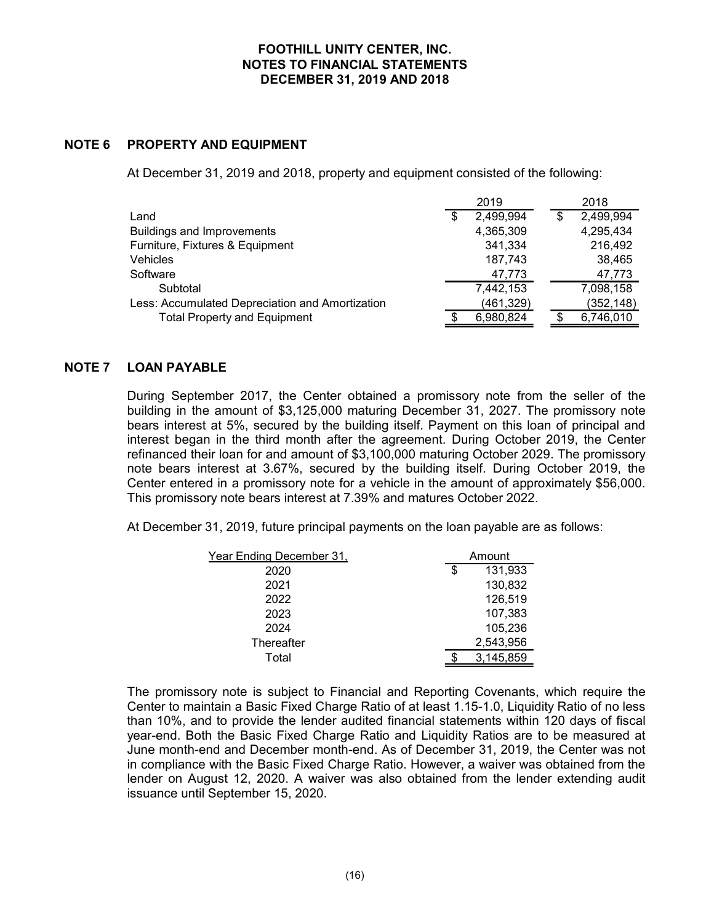|               | <b>FOOTHILL UNITY CENTER, INC.</b><br><b>NOTES TO FINANCIAL STATEMENTS</b><br><b>DECEMBER 31, 2019 AND 2018</b>                                                                                                                                                                                                                                                                                                                                                                                                                                                                                                                                                                                                                                             |                                                                                                        |                    |                                                                                                       |
|---------------|-------------------------------------------------------------------------------------------------------------------------------------------------------------------------------------------------------------------------------------------------------------------------------------------------------------------------------------------------------------------------------------------------------------------------------------------------------------------------------------------------------------------------------------------------------------------------------------------------------------------------------------------------------------------------------------------------------------------------------------------------------------|--------------------------------------------------------------------------------------------------------|--------------------|-------------------------------------------------------------------------------------------------------|
| <b>NOTE 6</b> | <b>PROPERTY AND EQUIPMENT</b>                                                                                                                                                                                                                                                                                                                                                                                                                                                                                                                                                                                                                                                                                                                               |                                                                                                        |                    |                                                                                                       |
|               | At December 31, 2019 and 2018, property and equipment consisted of the following:                                                                                                                                                                                                                                                                                                                                                                                                                                                                                                                                                                                                                                                                           |                                                                                                        |                    |                                                                                                       |
|               | Land<br><b>Buildings and Improvements</b><br>Furniture, Fixtures & Equipment<br>Vehicles<br>Software<br>Subtotal<br>Less: Accumulated Depreciation and Amortization<br><b>Total Property and Equipment</b>                                                                                                                                                                                                                                                                                                                                                                                                                                                                                                                                                  | 2019<br>2,499,994<br>4,365,309<br>341,334<br>187,743<br>47,773<br>7,442,153<br>(461, 329)<br>6,980,824 | $\mathbb{S}$<br>\$ | 2018<br>2,499,994<br>4,295,434<br>216,492<br>38,465<br>47,773<br>7,098,158<br>(352, 148)<br>6,746,010 |
| <b>NOTE 7</b> | <b>LOAN PAYABLE</b><br>During September 2017, the Center obtained a promissory note from the seller of the<br>building in the amount of \$3,125,000 maturing December 31, 2027. The promissory note<br>bears interest at 5%, secured by the building itself. Payment on this loan of principal and<br>interest began in the third month after the agreement. During October 2019, the Center<br>refinanced their loan for and amount of \$3,100,000 maturing October 2029. The promissory<br>note bears interest at 3.67%, secured by the building itself. During October 2019, the<br>Center entered in a promissory note for a vehicle in the amount of approximately \$56,000.<br>This promissory note bears interest at 7.39% and matures October 2022. |                                                                                                        |                    |                                                                                                       |

bears interest at 5%, secured by the building itself. Payment on this loan of principal and refinanced their loan for and amount of \$3,100,000 maturing October 2029. The promissory note bears interest at 3.67%, secured by the building itself. During October 2019, the Center entered in a promissory note for a vehicle in the amount of approximately \$56,000. This promissory note bears interest at 7.39% and matures October 2022. Buildings and Improvements<br>
Furniture, Fixtures & Equipment<br>  $4.36434$ <br>  $4.2773$ <br>
Solivokia<br>
Software<br>
Less: Accumulated Depreciation and Amortization<br>  $4.773$ <br>
Less: Accumulated Depreciation and Amortization<br>
Total Prope 7, the Center obtained a promissory note from the seller of the<br>
of \$3,125,000 maturing December 31, 2027. The promissory note<br>
cruced by the building itself. Payment on this loan of principal and<br>
ind month after the agr During September 2017, the Center obtained a promissory note from the seller of the building in the amount of \$3,100,000 maturing December 31, 2027. The promissory note<br>thereast began in the third month after the agreemen

| \$<br>131,933 |                                  |  |
|---------------|----------------------------------|--|
| 130,832       |                                  |  |
| 126,519       |                                  |  |
| 107,383       |                                  |  |
| 105,236       |                                  |  |
|               |                                  |  |
|               |                                  |  |
|               | Amount<br>2,543,956<br>3,145,859 |  |

Center to maintain a Basic Fixed Charge Ratio of at least 1.15-1.0, Liquidity Ratio of no less bears interest at 5%, secured by the building itself. Payment on this loan of principal and<br>interest began in the third month after the agreement. During October 2019, the Center<br>refinanced their loan for and amount of \$3 year-end. Both the Basic Fixed Charge Ratio and Liquidity Ratios are to be measured at June month-end and December month-end. As of December 31, 2019, the Center was not in compliance with the Basic Fixed Charge Ratio. However, a waiver was obtained from the Center entered in a promissory note for a vehicle in the amount of approximately \$56,000.<br>
This promissory note bears interest at 7.39% and matures October 2022.<br>
At December 31, 2019, future principal payments on the loa issuance until September 15, 2020.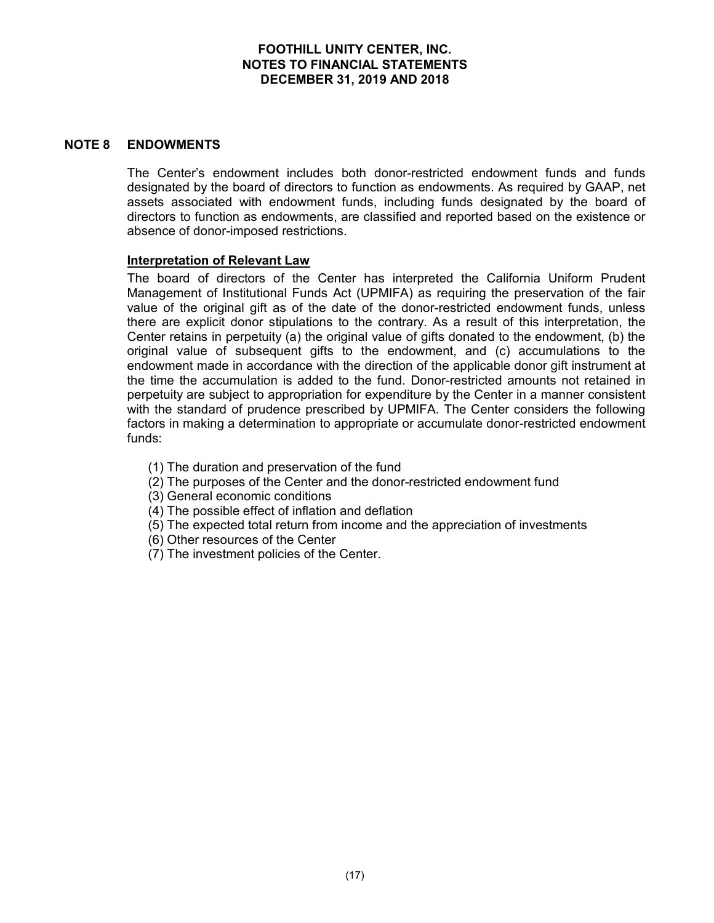## FOOTHILL UNITY CENTER, INC. NOTES TO FINANCIAL STATEMENTS FOOTHILL UNITY CENTER, INC.<br>TES TO FINANCIAL STATEMENTS<br>DECEMBER 31, 2019 AND 2018

FOOTHILL UNITY CENTER, INC.<br>
NOTES TO FINANCIAL STATEMENTS<br>
DECEMBER 31, 2019 AND 2018<br>
NOTE 8 ENDOWMENTS<br>
The Center's endowment includes both donor-restricted endow<br>
designated by the board of directors to function as en The Center's endowment includes both donor-restricted endowment funds and funds designated by the board of directors to function as endowments. As required by GAAP, net assets associated with endowment funds, including funds designated by the board of directors to function as endowments, are classified and reported based on the existence or absence of donor-imposed restrictions.

## Interpretation of Relevant Law

**FOOTHILL UNITY CENTER, INC.**<br> **NOTES TO FINANCIAL STATEMENTS**<br> **DECEMBER 31, 2019 AND 2018**<br> **The Center's endowment includes both donor-restricted endowment funds and funds**<br>
designated by the board of directors to funct Management of Institutional Funds Act (UPMIFA) as requiring the preservation of the fair value of the original gift as of the date of the donor-restricted endowment funds, unless there are explicit donor stipulations to the contrary. As a result of this interpretation, the Center retains in perpetuity (a) the original value of gifts donated to the endowment, (b) the **FOOTHILL UNITY CENTER, INC.**<br> **ROTES TO FINANCIAL STATEMENTS**<br> **CELEMBER 31, 2019 AND 2018**<br> **ENDOWMENTS**<br> **CELEMBER 31, 2019 AND 2018**<br> **CELEMBER 31, 2019 AND 2018**<br> **CELEMBER 31, 2019 AND 2018**<br> **CELEMBER 31, 2019 AND 2** endowment made in accordance with the direction of the applicable donor gift instrument at the time the accumulation is added to the fund. Donor-restricted amounts not retained in **ENDOWMENTS**<br>The Center's endowment includes both donor-restricted endowment funds and funds<br>designated by the board of directors to function as endowments. As required by GAAP, net<br>assets associated with endowment funds, ENDOWMENTS<br>The Center's endowment includes both donor-restricted endowment funds and funds<br>designated by the board of directors to function as endowments. As required by GAAP, net<br>assets associated with endowment funds, in factors in making a determination to appropriate or accumulate donor-restricted endowment funds: ignated by the board of directors to function as endowments. As required by GAAP, net<br>ets associated with endowment funds, including funds designated by the board of<br>etcors to function as endowments, are classified and rep

- 
- (1) The duration and preservation of the fund<br>(2) The purposes of the Center and the donor-restricted endowment fund
- (3) General economic conditions
- (4) The possible effect of inflation and deflation
- (5) The expected total return from income and the appreciation of investments
- (6) Other resources of the Center
- (7) The investment policies of the Center.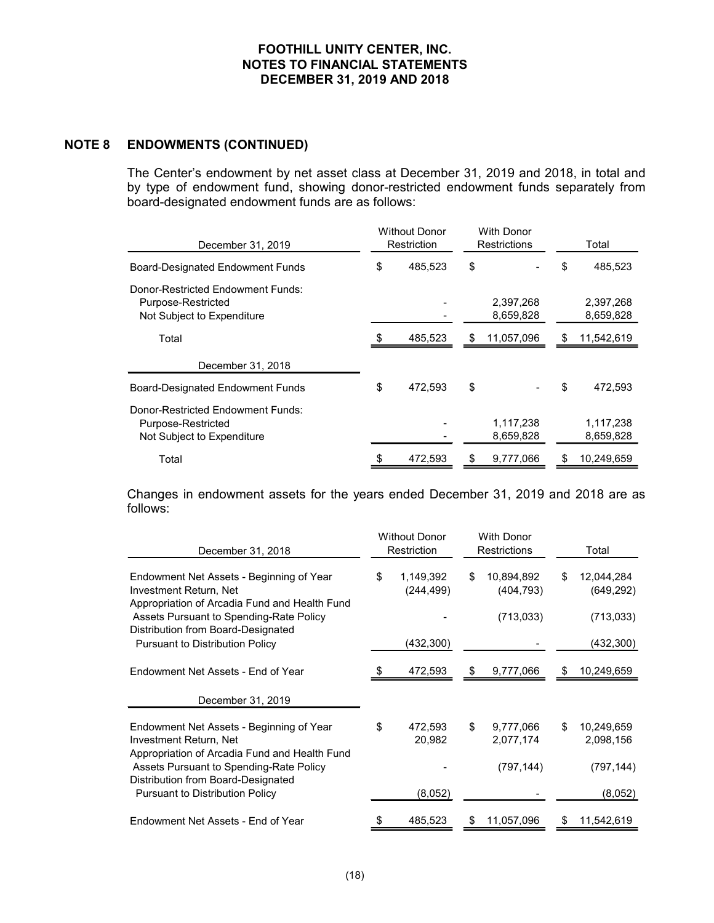FOOTHILL UNITY CENTER, INC.<br>
NOTES TO FINANCIAL STATEMENTS<br>
DECEMBER 31, 2019 AND 2018<br>
NOTE 8 ENDOWMENTS (CONTINUED)<br>
The Center's endowment by net asset class at December 31, 2019<br>
by type of endowment fund, showing dono FOOTHILL UNITY CENTER, INC.<br>
NOTES TO FINANCIAL STATEMENTS<br>
DECEMBER 31, 2019 AND 2018<br>
ENDOWMENTS (CONTINUED)<br>
The Center's endowment by net asset class at December 31, 2019 and 2018, in total and<br>
by type of endowment fu by type of endowment fund, showing donor-restricted endowment funds separately from board-designated endowment funds are as follows:

| <b>FOOTHILL UNITY CENTER, INC.</b><br><b>NOTES TO FINANCIAL STATEMENTS</b><br>DECEMBER 31, 2019 AND 2018                                                                                                                         |    |                                     |                                          |                          |
|----------------------------------------------------------------------------------------------------------------------------------------------------------------------------------------------------------------------------------|----|-------------------------------------|------------------------------------------|--------------------------|
| <b>ENDOWMENTS (CONTINUED)</b>                                                                                                                                                                                                    |    |                                     |                                          |                          |
| The Center's endowment by net asset class at December 31, 2019 and 2018, in total and<br>by type of endowment fund, showing donor-restricted endowment funds separately from<br>board-designated endowment funds are as follows: |    |                                     |                                          |                          |
| December 31, 2019                                                                                                                                                                                                                |    | <b>Without Donor</b><br>Restriction | <b>With Donor</b><br><b>Restrictions</b> | Total                    |
| <b>Board-Designated Endowment Funds</b>                                                                                                                                                                                          | \$ | 485,523                             | \$                                       | \$<br>485,523            |
| Donor-Restricted Endowment Funds:<br>Purpose-Restricted<br>Not Subject to Expenditure                                                                                                                                            |    |                                     | 2,397,268<br>8,659,828                   | 2,397,268<br>8,659,828   |
| Total                                                                                                                                                                                                                            |    | 485,523                             | 11,057,096                               | 11,542,619               |
| December 31, 2018                                                                                                                                                                                                                |    |                                     |                                          |                          |
| <b>Board-Designated Endowment Funds</b>                                                                                                                                                                                          | \$ | 472,593                             | \$                                       | 472,593                  |
| Donor-Restricted Endowment Funds:<br>Purpose-Restricted<br>Not Subject to Expenditure                                                                                                                                            |    |                                     | 1,117,238<br>8,659,828                   | 1,117,238<br>8,659,828   |
| Total                                                                                                                                                                                                                            | \$ | 472,593                             | 9,777,066                                | \$<br>10,249,659         |
| Changes in endowment assets for the years ended December 31, 2019 and 2018 are as<br>follows:                                                                                                                                    |    |                                     |                                          |                          |
| December 31, 2018                                                                                                                                                                                                                |    | <b>Without Donor</b><br>Restriction | <b>With Donor</b><br>Restrictions        | Total                    |
| Endowment Net Assets - Beginning of Year<br>Investment Return, Net<br>Appropriation of Arcadia Fund and Health Fund                                                                                                              | S  | 1,149,392<br>(244, 499)             | \$<br>10,894,892<br>(404, 793)           | 12,044,284<br>(649, 292) |
| Assets Pursuant to Spending-Rate Policy<br>Distribution from Board-Designated                                                                                                                                                    |    |                                     | (713, 033)                               | (713, 033)               |
| <b>Pursuant to Distribution Policy</b>                                                                                                                                                                                           |    | (432, 300)                          |                                          | (432, 300)               |

| Not Subject to Expenditure                                                                                                                                     |                                     |     | 8,659,828                              |    | 8,659,828                              |
|----------------------------------------------------------------------------------------------------------------------------------------------------------------|-------------------------------------|-----|----------------------------------------|----|----------------------------------------|
| Total                                                                                                                                                          | 485,523                             | \$  | 11,057,096                             |    | 11,542,619                             |
| December 31, 2018                                                                                                                                              |                                     |     |                                        |    |                                        |
| <b>Board-Designated Endowment Funds</b>                                                                                                                        | \$<br>472,593                       | \$  |                                        |    | 472,593                                |
| Donor-Restricted Endowment Funds:<br>Purpose-Restricted<br>Not Subject to Expenditure                                                                          |                                     |     | 1,117,238<br>8,659,828                 |    | 1,117,238<br>8,659,828                 |
| Total                                                                                                                                                          | 472,593                             | \$  | 9,777,066                              | \$ | 10,249,659                             |
| follows:<br>December 31, 2018                                                                                                                                  | <b>Without Donor</b><br>Restriction |     | <b>With Donor</b><br>Restrictions      |    | Total                                  |
| Endowment Net Assets - Beginning of Year<br>Investment Return, Net<br>Appropriation of Arcadia Fund and Health Fund<br>Assets Pursuant to Spending-Rate Policy | \$<br>1,149,392<br>(244, 499)       | \$. | 10,894,892<br>(404, 793)<br>(713, 033) | \$ | 12,044,284<br>(649, 292)<br>(713, 033) |
| Distribution from Board-Designated<br>Pursuant to Distribution Policy                                                                                          | (432, 300)                          |     |                                        |    | (432, 300)                             |
| Endowment Net Assets - End of Year                                                                                                                             | 472,593                             |     | 9,777,066                              | S. | 10,249,659                             |
| December 31, 2019                                                                                                                                              |                                     |     |                                        |    |                                        |
| Endowment Net Assets - Beginning of Year<br>Investment Return, Net                                                                                             | \$<br>472,593<br>20,982             | \$  | 9,777,066<br>2,077,174                 | \$ | 10,249,659<br>2,098,156                |
|                                                                                                                                                                |                                     |     |                                        |    |                                        |
| Appropriation of Arcadia Fund and Health Fund<br>Assets Pursuant to Spending-Rate Policy<br>Distribution from Board-Designated                                 |                                     |     | (797, 144)                             |    | (797, 144)                             |
| <b>Pursuant to Distribution Policy</b>                                                                                                                         | (8,052)                             |     |                                        |    | (8,052)                                |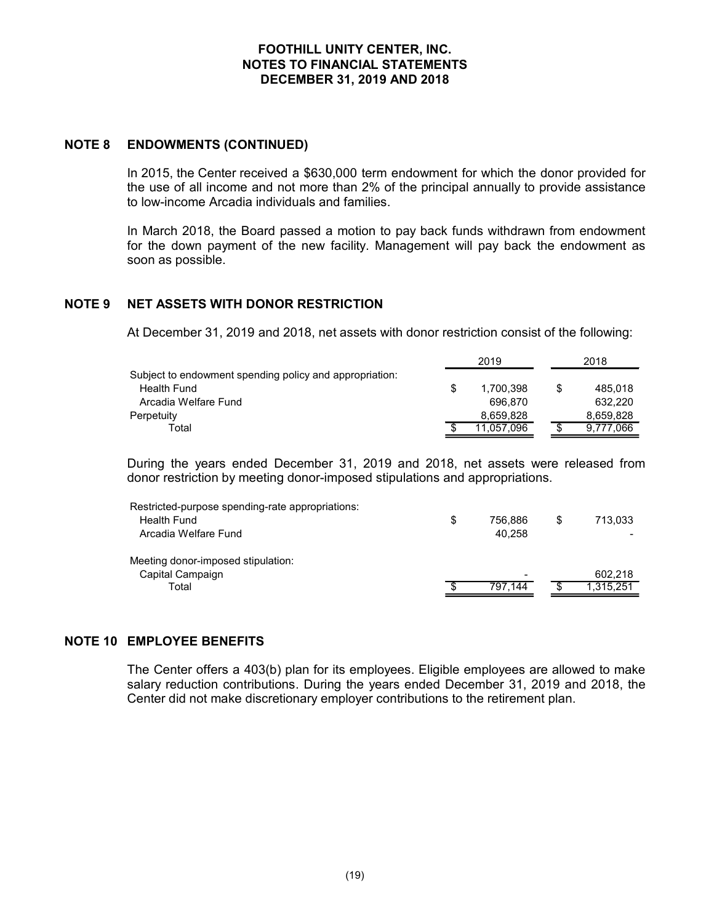FOOTHILL UNITY CENTER, INC.<br>
NOTES TO FINANCIAL STATEMENTS<br>
DECEMBER 31, 2019 AND 2018<br>
NOTE 8 ENDOWMENTS (CONTINUED)<br>
In 2015, the Center received a \$630,000 term endowment for which<br>
the use of all income and not more th FOOTHILL UNITY CENTER, INC.<br>
INCENTER TO FINANCIAL STATEMENTS<br>
DECEMBER 31, 2019 AND 2018<br>
In 2015, the Center received a \$630,000 term endowment for which the donor provided for<br>
the use of all income and not more than 2% FOOTHILL UNITY CENTER, INC.<br>
NOTES TO FINANCIAL STATEMENTS<br>
DECEMBER 31, 2019 AND 2018<br>
In 2015, the Center received a \$630,000 term endowment for which the donor provided for<br>
the use of all income and not more than 2% of to low-income Arcadia individuals and families.

In March 2018, the Board passed a motion to pay back funds withdrawn from endowment for the down payment of the new facility. Management will pay back the endowment as FOOTHILL UNITY CENTER, INC.<br>
NOTES TO FINANCIAL STATEMENTS<br>
DECEMBER 31, 2019 AND 2018<br>
In 2015, the Center received a \$630,000 term endowment for which the donor provided for<br>
the use of all income and not more than 2% of soon as possible. FOOTHILL UNITY CENTER, INC.<br>
NOTES TO FINANCIAL STATEMENTS<br>
DECEMBER 31, 2019 AND 2018<br>
NOTE 8 ENDOWMENTS (CONTINUED)<br>
In 2015, the Center received a \$630,000 term endowment for which the donor provided for<br>
the use of all

| <b>FOOTHILL UNITY CENTER, INC.</b><br><b>NOTES TO FINANCIAL STATEMENTS</b><br>DECEMBER 31, 2019 AND 2018                                                                                                                                  |               |                 |  |
|-------------------------------------------------------------------------------------------------------------------------------------------------------------------------------------------------------------------------------------------|---------------|-----------------|--|
| <b>ENDOWMENTS (CONTINUED)</b>                                                                                                                                                                                                             |               |                 |  |
| In 2015, the Center received a \$630,000 term endowment for which the donor provided for<br>the use of all income and not more than 2% of the principal annually to provide assistance<br>to low-income Arcadia individuals and families. |               |                 |  |
| In March 2018, the Board passed a motion to pay back funds withdrawn from endowment<br>for the down payment of the new facility. Management will pay back the endowment as<br>soon as possible.                                           |               |                 |  |
| <b>NET ASSETS WITH DONOR RESTRICTION</b><br>At December 31, 2019 and 2018, net assets with donor restriction consist of the following:                                                                                                    |               |                 |  |
|                                                                                                                                                                                                                                           | 2019          | 2018            |  |
| Subject to endowment spending policy and appropriation:                                                                                                                                                                                   |               |                 |  |
| <b>Health Fund</b>                                                                                                                                                                                                                        | 1,700,398     | \$<br>485,018   |  |
| Arcadia Welfare Fund                                                                                                                                                                                                                      | 696,870       | 632,220         |  |
| Perpetuity                                                                                                                                                                                                                                | 8,659,828     | 8,659,828       |  |
| Total                                                                                                                                                                                                                                     | 11,057,096    | \$<br>9,777,066 |  |
| During the years ended December 31, 2019 and 2018, net assets were released from<br>donor restriction by meeting donor-imposed stipulations and appropriations.                                                                           |               |                 |  |
| Restricted-purpose spending-rate appropriations:                                                                                                                                                                                          |               |                 |  |
| <b>Health Fund</b>                                                                                                                                                                                                                        | \$<br>756,886 | \$<br>713,033   |  |
| Arcadia Welfare Fund                                                                                                                                                                                                                      | 40,258        |                 |  |

| <b>NOTE 9</b> | <b>NET ASSETS WITH DONOR RESTRICTION</b><br>At December 31, 2019 and 2018, net assets with donor restriction consist of the following:                                                                                                                                                                                                                                    |                                                                  |                 |                                                         |
|---------------|---------------------------------------------------------------------------------------------------------------------------------------------------------------------------------------------------------------------------------------------------------------------------------------------------------------------------------------------------------------------------|------------------------------------------------------------------|-----------------|---------------------------------------------------------|
|               |                                                                                                                                                                                                                                                                                                                                                                           | 2019                                                             |                 | 2018                                                    |
|               | Subject to endowment spending policy and appropriation:<br><b>Health Fund</b><br>Arcadia Welfare Fund<br>Perpetuity<br>Total<br>During the years ended December 31, 2019 and 2018, net assets were released from<br>donor restriction by meeting donor-imposed stipulations and appropriations.<br>Restricted-purpose spending-rate appropriations:<br><b>Health Fund</b> | \$<br>1,700,398<br>696,870<br>8,659,828<br>11,057,096<br>756,886 | \$<br>\$<br>\$. | 485,018<br>632,220<br>8,659,828<br>9,777,066<br>713,033 |
|               | Arcadia Welfare Fund<br>Meeting donor-imposed stipulation:<br>Capital Campaign                                                                                                                                                                                                                                                                                            | 40,258                                                           |                 | 602,218                                                 |
|               | Total                                                                                                                                                                                                                                                                                                                                                                     | 797,144                                                          | \$              | 1,315,251                                               |